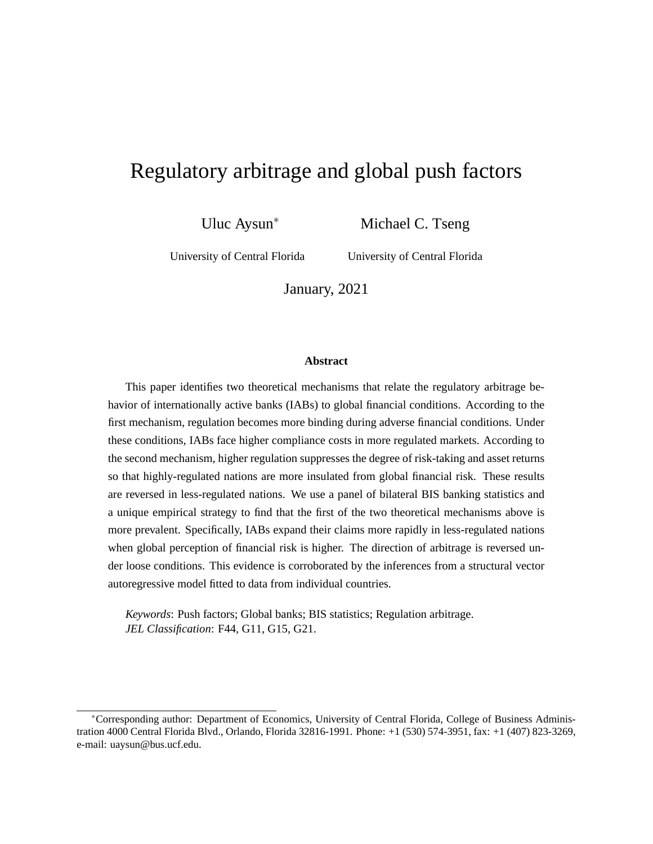# Regulatory arbitrage and global push factors

Uluc Aysun

Michael C. Tseng

University of Central Florida

University of Central Florida

January, 2021

### **Abstract**

This paper identifies two theoretical mechanisms that relate the regulatory arbitrage behavior of internationally active banks (IABs) to global financial conditions. According to the first mechanism, regulation becomes more binding during adverse financial conditions. Under these conditions, IABs face higher compliance costs in more regulated markets. According to the second mechanism, higher regulation suppresses the degree of risk-taking and asset returns so that highly-regulated nations are more insulated from global financial risk. These results are reversed in less-regulated nations. We use a panel of bilateral BIS banking statistics and a unique empirical strategy to find that the first of the two theoretical mechanisms above is more prevalent. Specifically, IABs expand their claims more rapidly in less-regulated nations when global perception of financial risk is higher. The direction of arbitrage is reversed under loose conditions. This evidence is corroborated by the inferences from a structural vector autoregressive model fitted to data from individual countries.

*Keywords*: Push factors; Global banks; BIS statistics; Regulation arbitrage. *JEL Classification*: F44, G11, G15, G21.

Corresponding author: Department of Economics, University of Central Florida, College of Business Administration 4000 Central Florida Blvd., Orlando, Florida 32816-1991. Phone: +1 (530) 574-3951, fax: +1 (407) 823-3269, e-mail: uaysun@bus.ucf.edu.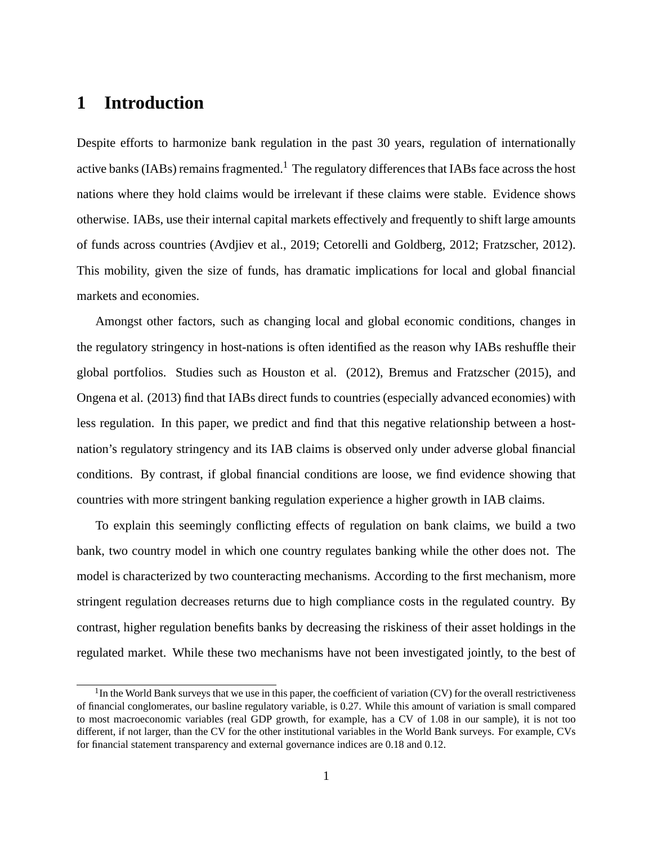# **1 Introduction**

Despite efforts to harmonize bank regulation in the past 30 years, regulation of internationally active banks (IABs) remains fragmented.<sup>1</sup> The regulatory differences that IABs face across the host nations where they hold claims would be irrelevant if these claims were stable. Evidence shows otherwise. IABs, use their internal capital markets effectively and frequently to shift large amounts of funds across countries (Avdjiev et al., 2019; Cetorelli and Goldberg, 2012; Fratzscher, 2012). This mobility, given the size of funds, has dramatic implications for local and global financial markets and economies.

Amongst other factors, such as changing local and global economic conditions, changes in the regulatory stringency in host-nations is often identified as the reason why IABs reshuffle their global portfolios. Studies such as Houston et al. (2012), Bremus and Fratzscher (2015), and Ongena et al. (2013) find that IABs direct funds to countries (especially advanced economies) with less regulation. In this paper, we predict and find that this negative relationship between a hostnation's regulatory stringency and its IAB claims is observed only under adverse global financial conditions. By contrast, if global financial conditions are loose, we find evidence showing that countries with more stringent banking regulation experience a higher growth in IAB claims.

To explain this seemingly conflicting effects of regulation on bank claims, we build a two bank, two country model in which one country regulates banking while the other does not. The model is characterized by two counteracting mechanisms. According to the first mechanism, more stringent regulation decreases returns due to high compliance costs in the regulated country. By contrast, higher regulation benefits banks by decreasing the riskiness of their asset holdings in the regulated market. While these two mechanisms have not been investigated jointly, to the best of

 $<sup>1</sup>$ In the World Bank surveys that we use in this paper, the coefficient of variation (CV) for the overall restrictiveness</sup> of financial conglomerates, our basline regulatory variable, is 0.27. While this amount of variation is small compared to most macroeconomic variables (real GDP growth, for example, has a CV of 1.08 in our sample), it is not too different, if not larger, than the CV for the other institutional variables in the World Bank surveys. For example, CVs for financial statement transparency and external governance indices are 0.18 and 0.12.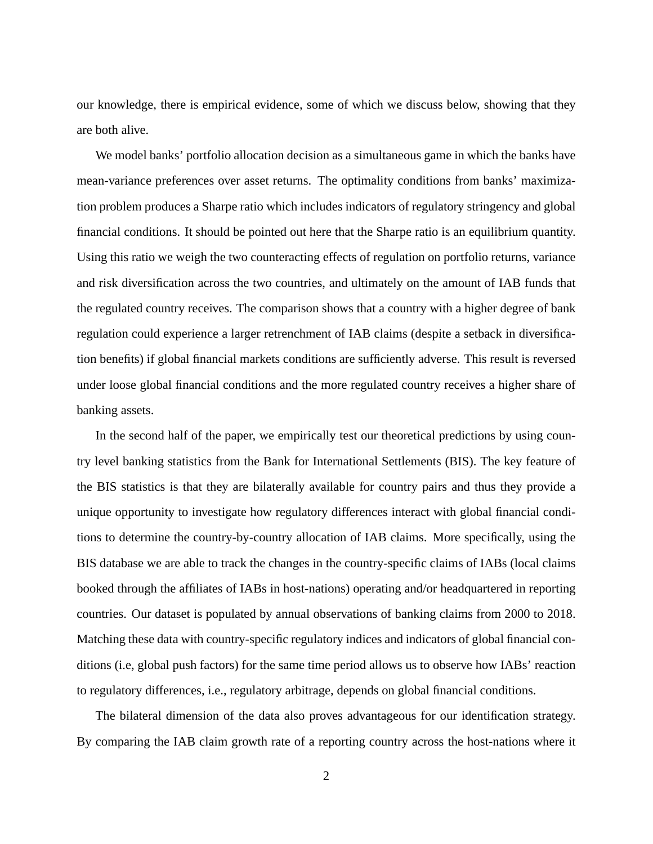our knowledge, there is empirical evidence, some of which we discuss below, showing that they are both alive.

We model banks' portfolio allocation decision as a simultaneous game in which the banks have mean-variance preferences over asset returns. The optimality conditions from banks' maximization problem produces a Sharpe ratio which includes indicators of regulatory stringency and global financial conditions. It should be pointed out here that the Sharpe ratio is an equilibrium quantity. Using this ratio we weigh the two counteracting effects of regulation on portfolio returns, variance and risk diversification across the two countries, and ultimately on the amount of IAB funds that the regulated country receives. The comparison shows that a country with a higher degree of bank regulation could experience a larger retrenchment of IAB claims (despite a setback in diversification benefits) if global financial markets conditions are sufficiently adverse. This result is reversed under loose global financial conditions and the more regulated country receives a higher share of banking assets.

In the second half of the paper, we empirically test our theoretical predictions by using country level banking statistics from the Bank for International Settlements (BIS). The key feature of the BIS statistics is that they are bilaterally available for country pairs and thus they provide a unique opportunity to investigate how regulatory differences interact with global financial conditions to determine the country-by-country allocation of IAB claims. More specifically, using the BIS database we are able to track the changes in the country-specific claims of IABs (local claims booked through the affiliates of IABs in host-nations) operating and/or headquartered in reporting countries. Our dataset is populated by annual observations of banking claims from 2000 to 2018. Matching these data with country-specific regulatory indices and indicators of global financial conditions (i.e, global push factors) for the same time period allows us to observe how IABs' reaction to regulatory differences, i.e., regulatory arbitrage, depends on global financial conditions.

The bilateral dimension of the data also proves advantageous for our identification strategy. By comparing the IAB claim growth rate of a reporting country across the host-nations where it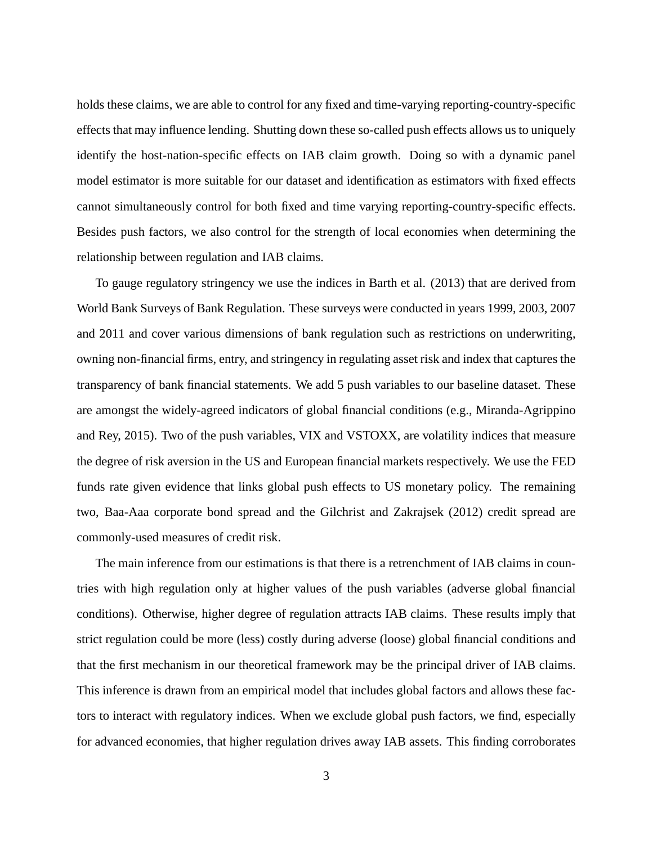holds these claims, we are able to control for any fixed and time-varying reporting-country-specific effects that may influence lending. Shutting down these so-called push effects allows us to uniquely identify the host-nation-specific effects on IAB claim growth. Doing so with a dynamic panel model estimator is more suitable for our dataset and identification as estimators with fixed effects cannot simultaneously control for both fixed and time varying reporting-country-specific effects. Besides push factors, we also control for the strength of local economies when determining the relationship between regulation and IAB claims.

To gauge regulatory stringency we use the indices in Barth et al. (2013) that are derived from World Bank Surveys of Bank Regulation. These surveys were conducted in years 1999, 2003, 2007 and 2011 and cover various dimensions of bank regulation such as restrictions on underwriting, owning non-financial firms, entry, and stringency in regulating asset risk and index that captures the transparency of bank financial statements. We add 5 push variables to our baseline dataset. These are amongst the widely-agreed indicators of global financial conditions (e.g., Miranda-Agrippino and Rey, 2015). Two of the push variables, VIX and VSTOXX, are volatility indices that measure the degree of risk aversion in the US and European financial markets respectively. We use the FED funds rate given evidence that links global push effects to US monetary policy. The remaining two, Baa-Aaa corporate bond spread and the Gilchrist and Zakrajsek (2012) credit spread are commonly-used measures of credit risk.

The main inference from our estimations is that there is a retrenchment of IAB claims in countries with high regulation only at higher values of the push variables (adverse global financial conditions). Otherwise, higher degree of regulation attracts IAB claims. These results imply that strict regulation could be more (less) costly during adverse (loose) global financial conditions and that the first mechanism in our theoretical framework may be the principal driver of IAB claims. This inference is drawn from an empirical model that includes global factors and allows these factors to interact with regulatory indices. When we exclude global push factors, we find, especially for advanced economies, that higher regulation drives away IAB assets. This finding corroborates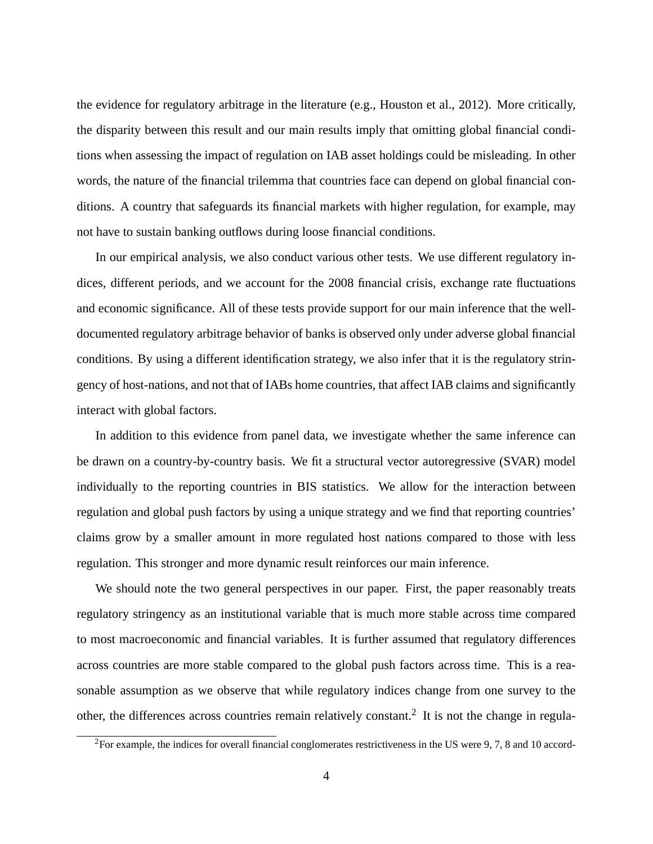the evidence for regulatory arbitrage in the literature (e.g., Houston et al., 2012). More critically, the disparity between this result and our main results imply that omitting global financial conditions when assessing the impact of regulation on IAB asset holdings could be misleading. In other words, the nature of the financial trilemma that countries face can depend on global financial conditions. A country that safeguards its financial markets with higher regulation, for example, may not have to sustain banking outflows during loose financial conditions.

In our empirical analysis, we also conduct various other tests. We use different regulatory indices, different periods, and we account for the 2008 financial crisis, exchange rate fluctuations and economic significance. All of these tests provide support for our main inference that the welldocumented regulatory arbitrage behavior of banks is observed only under adverse global financial conditions. By using a different identification strategy, we also infer that it is the regulatory stringency of host-nations, and not that of IABs home countries, that affect IAB claims and significantly interact with global factors.

In addition to this evidence from panel data, we investigate whether the same inference can be drawn on a country-by-country basis. We fit a structural vector autoregressive (SVAR) model individually to the reporting countries in BIS statistics. We allow for the interaction between regulation and global push factors by using a unique strategy and we find that reporting countries' claims grow by a smaller amount in more regulated host nations compared to those with less regulation. This stronger and more dynamic result reinforces our main inference.

We should note the two general perspectives in our paper. First, the paper reasonably treats regulatory stringency as an institutional variable that is much more stable across time compared to most macroeconomic and financial variables. It is further assumed that regulatory differences across countries are more stable compared to the global push factors across time. This is a reasonable assumption as we observe that while regulatory indices change from one survey to the other, the differences across countries remain relatively constant.<sup>2</sup> It is not the change in regula-

 ${}^{2}$ For example, the indices for overall financial conglomerates restrictiveness in the US were 9, 7, 8 and 10 accord-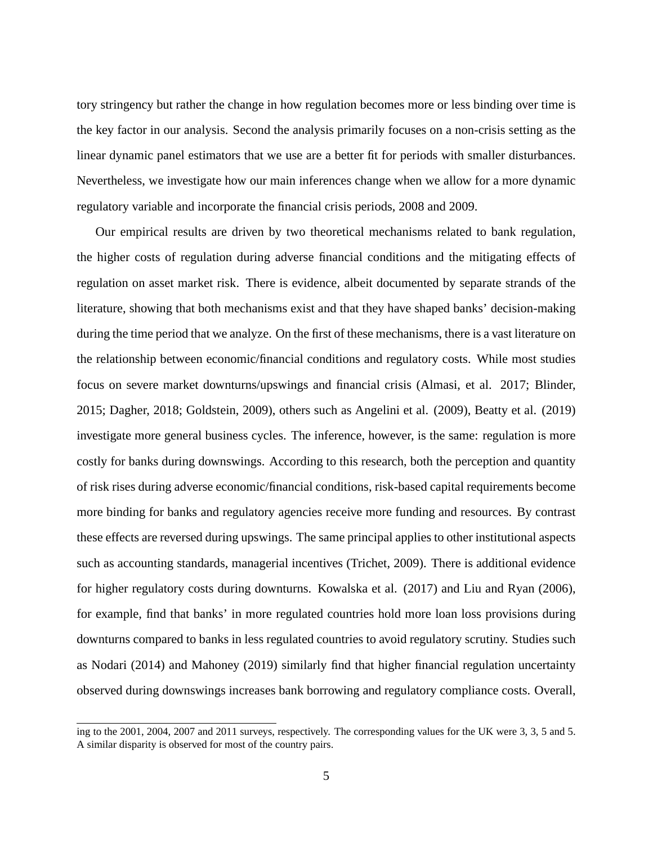tory stringency but rather the change in how regulation becomes more or less binding over time is the key factor in our analysis. Second the analysis primarily focuses on a non-crisis setting as the linear dynamic panel estimators that we use are a better fit for periods with smaller disturbances. Nevertheless, we investigate how our main inferences change when we allow for a more dynamic regulatory variable and incorporate the financial crisis periods, 2008 and 2009.

Our empirical results are driven by two theoretical mechanisms related to bank regulation, the higher costs of regulation during adverse financial conditions and the mitigating effects of regulation on asset market risk. There is evidence, albeit documented by separate strands of the literature, showing that both mechanisms exist and that they have shaped banks' decision-making during the time period that we analyze. On the first of these mechanisms, there is a vast literature on the relationship between economic/financial conditions and regulatory costs. While most studies focus on severe market downturns/upswings and financial crisis (Almasi, et al. 2017; Blinder, 2015; Dagher, 2018; Goldstein, 2009), others such as Angelini et al. (2009), Beatty et al. (2019) investigate more general business cycles. The inference, however, is the same: regulation is more costly for banks during downswings. According to this research, both the perception and quantity of risk rises during adverse economic/financial conditions, risk-based capital requirements become more binding for banks and regulatory agencies receive more funding and resources. By contrast these effects are reversed during upswings. The same principal applies to other institutional aspects such as accounting standards, managerial incentives (Trichet, 2009). There is additional evidence for higher regulatory costs during downturns. Kowalska et al. (2017) and Liu and Ryan (2006), for example, find that banks' in more regulated countries hold more loan loss provisions during downturns compared to banks in less regulated countries to avoid regulatory scrutiny. Studies such as Nodari (2014) and Mahoney (2019) similarly find that higher financial regulation uncertainty observed during downswings increases bank borrowing and regulatory compliance costs. Overall,

ing to the 2001, 2004, 2007 and 2011 surveys, respectively. The corresponding values for the UK were 3, 3, 5 and 5. A similar disparity is observed for most of the country pairs.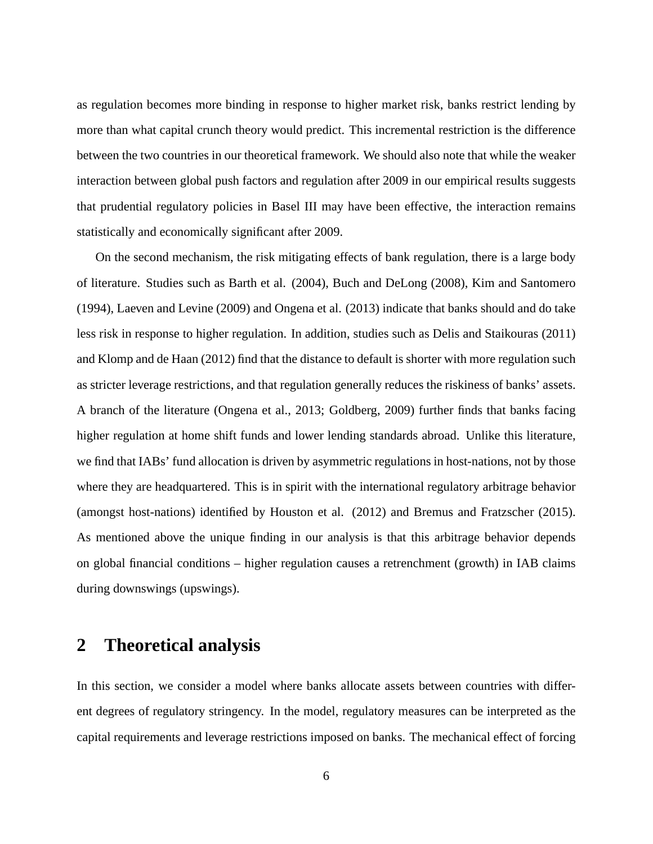as regulation becomes more binding in response to higher market risk, banks restrict lending by more than what capital crunch theory would predict. This incremental restriction is the difference between the two countries in our theoretical framework. We should also note that while the weaker interaction between global push factors and regulation after 2009 in our empirical results suggests that prudential regulatory policies in Basel III may have been effective, the interaction remains statistically and economically significant after 2009.

On the second mechanism, the risk mitigating effects of bank regulation, there is a large body of literature. Studies such as Barth et al. (2004), Buch and DeLong (2008), Kim and Santomero (1994), Laeven and Levine (2009) and Ongena et al. (2013) indicate that banks should and do take less risk in response to higher regulation. In addition, studies such as Delis and Staikouras (2011) and Klomp and de Haan (2012) find that the distance to default is shorter with more regulation such as stricter leverage restrictions, and that regulation generally reduces the riskiness of banks' assets. A branch of the literature (Ongena et al., 2013; Goldberg, 2009) further finds that banks facing higher regulation at home shift funds and lower lending standards abroad. Unlike this literature, we find that IABs' fund allocation is driven by asymmetric regulations in host-nations, not by those where they are headquartered. This is in spirit with the international regulatory arbitrage behavior (amongst host-nations) identified by Houston et al. (2012) and Bremus and Fratzscher (2015). As mentioned above the unique finding in our analysis is that this arbitrage behavior depends on global financial conditions – higher regulation causes a retrenchment (growth) in IAB claims during downswings (upswings).

# **2 Theoretical analysis**

In this section, we consider a model where banks allocate assets between countries with different degrees of regulatory stringency. In the model, regulatory measures can be interpreted as the capital requirements and leverage restrictions imposed on banks. The mechanical effect of forcing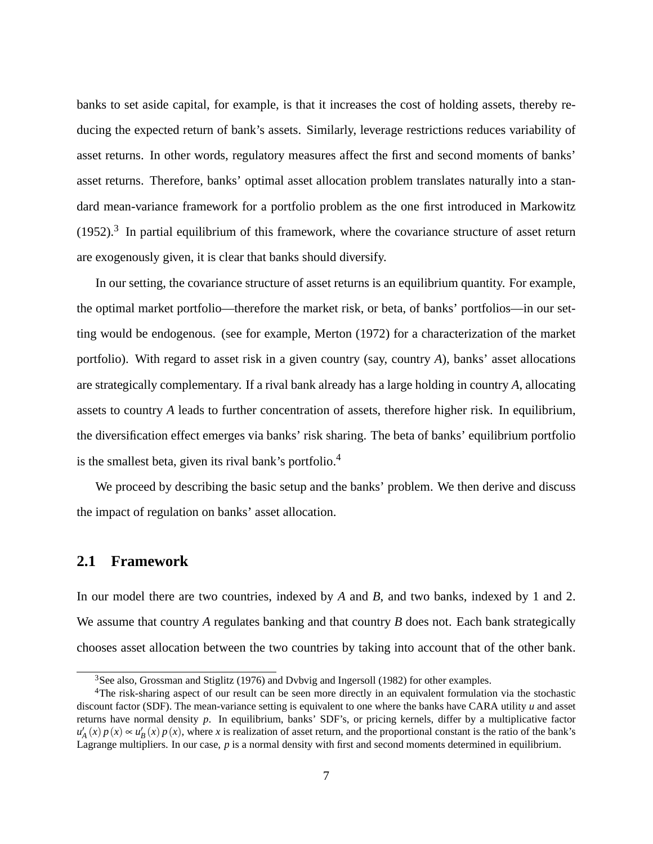banks to set aside capital, for example, is that it increases the cost of holding assets, thereby reducing the expected return of bank's assets. Similarly, leverage restrictions reduces variability of asset returns. In other words, regulatory measures affect the first and second moments of banks' asset returns. Therefore, banks' optimal asset allocation problem translates naturally into a standard mean-variance framework for a portfolio problem as the one first introduced in Markowitz  $(1952).$ <sup>3</sup> In partial equilibrium of this framework, where the covariance structure of asset return are exogenously given, it is clear that banks should diversify.

In our setting, the covariance structure of asset returns is an equilibrium quantity. For example, the optimal market portfolio—therefore the market risk, or beta, of banks' portfolios—in our setting would be endogenous. (see for example, Merton (1972) for a characterization of the market portfolio). With regard to asset risk in a given country (say, country *A*), banks' asset allocations are strategically complementary. If a rival bank already has a large holding in country *A*, allocating assets to country *A* leads to further concentration of assets, therefore higher risk. In equilibrium, the diversification effect emerges via banks' risk sharing. The beta of banks' equilibrium portfolio is the smallest beta, given its rival bank's portfolio.<sup>4</sup>

We proceed by describing the basic setup and the banks' problem. We then derive and discuss the impact of regulation on banks' asset allocation.

### **2.1 Framework**

In our model there are two countries, indexed by *A* and *B*, and two banks, indexed by 1 and 2. We assume that country *A* regulates banking and that country *B* does not. Each bank strategically chooses asset allocation between the two countries by taking into account that of the other bank.

<sup>&</sup>lt;sup>3</sup>See also, Grossman and Stiglitz (1976) and Dvbvig and Ingersoll (1982) for other examples.

<sup>&</sup>lt;sup>4</sup>The risk-sharing aspect of our result can be seen more directly in an equivalent formulation via the stochastic discount factor (SDF). The mean-variance setting is equivalent to one where the banks have CARA utility *u* and asset returns have normal density *p*. In equilibrium, banks' SDF's, or pricing kernels, differ by a multiplicative factor  $u'_{A}(x)p(x) \approx u'_{B}(x)p(x)$ , where *x* is realization of asset return, and the proportional constant is the ratio of the bank's Lagrange multipliers. In our case, *p* is a normal density with first and second moments determined in equilibrium.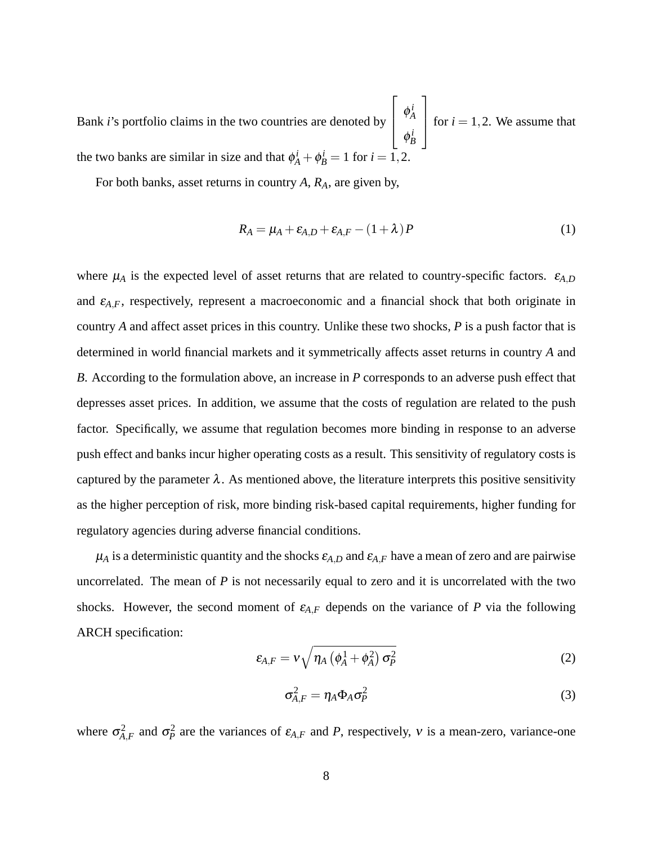Bank *i*'s portfolio claims in the two countries are denoted by  $\sqrt{2}$  $\overline{\phantom{a}}$  $\phi^i_A$ *A*  $\phi_B^i$  $\overline{1}$ for  $i = 1, 2$ . We assume that the two banks are similar in size and that  $\phi_A^i + \phi_B^i = 1$  for  $i = 1, 2$ .

For both banks, asset returns in country *A*, *RA*, are given by,

$$
R_A = \mu_A + \varepsilon_{A,D} + \varepsilon_{A,F} - (1 + \lambda)P
$$
\n(1)

where  $\mu_A$  is the expected level of asset returns that are related to country-specific factors.  $\varepsilon_{A,D}$ and  $\varepsilon_{A,F}$ , respectively, represent a macroeconomic and a financial shock that both originate in country *A* and affect asset prices in this country. Unlike these two shocks, *P* is a push factor that is determined in world financial markets and it symmetrically affects asset returns in country *A* and *B*. According to the formulation above, an increase in *P* corresponds to an adverse push effect that depresses asset prices. In addition, we assume that the costs of regulation are related to the push factor. Specifically, we assume that regulation becomes more binding in response to an adverse push effect and banks incur higher operating costs as a result. This sensitivity of regulatory costs is captured by the parameter  $\lambda$ . As mentioned above, the literature interprets this positive sensitivity as the higher perception of risk, more binding risk-based capital requirements, higher funding for regulatory agencies during adverse financial conditions.

 $\mu_A$  is a deterministic quantity and the shocks  $\varepsilon_{A,D}$  and  $\varepsilon_{A,F}$  have a mean of zero and are pairwise uncorrelated. The mean of *P* is not necessarily equal to zero and it is uncorrelated with the two shocks. However, the second moment of  $\varepsilon_{A,F}$  depends on the variance of *P* via the following ARCH specification:

$$
\varepsilon_{A,F} = \nu \sqrt{\eta_A \left(\phi_A^1 + \phi_A^2\right) \sigma_P^2}
$$
 (2)

$$
\sigma_{A,F}^2 = \eta_A \Phi_A \sigma_P^2 \tag{3}
$$

where  $\sigma_{A,F}^2$  and  $\sigma_P^2$  are the variances of  $\varepsilon_{A,F}$  and *P*, respectively, *v* is a mean-zero, variance-one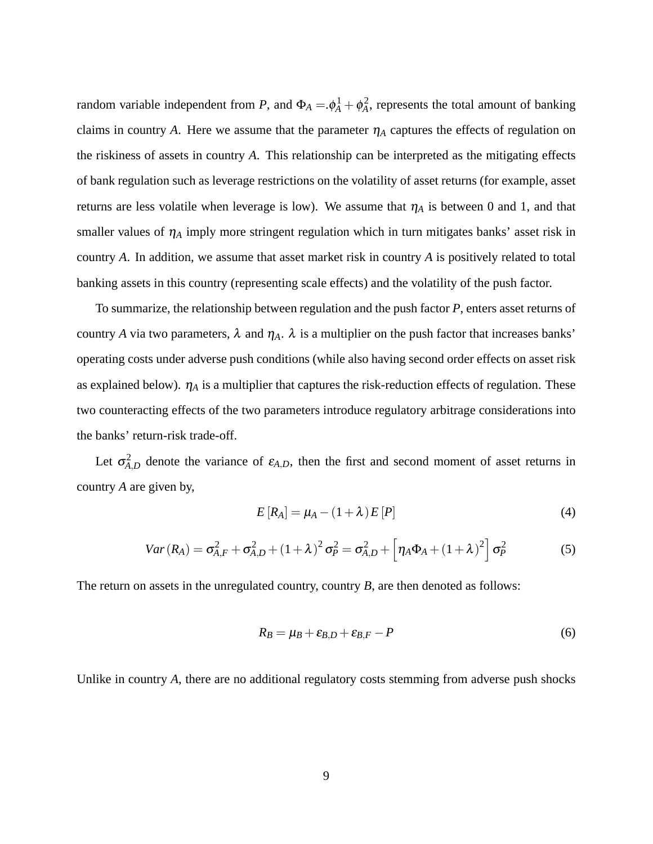random variable independent from *P*, and  $\Phi_A = \phi_A^1 + \phi_A^2$ , represents the total amount of banking claims in country A. Here we assume that the parameter  $\eta_A$  captures the effects of regulation on the riskiness of assets in country *A*. This relationship can be interpreted as the mitigating effects of bank regulation such as leverage restrictions on the volatility of asset returns (for example, asset returns are less volatile when leverage is low). We assume that  $\eta_A$  is between 0 and 1, and that smaller values of  $\eta_A$  imply more stringent regulation which in turn mitigates banks' asset risk in country *A*. In addition, we assume that asset market risk in country *A* is positively related to total banking assets in this country (representing scale effects) and the volatility of the push factor.

To summarize, the relationship between regulation and the push factor *P*, enters asset returns of country *A* via two parameters,  $\lambda$  and  $\eta_A$ .  $\lambda$  is a multiplier on the push factor that increases banks' operating costs under adverse push conditions (while also having second order effects on asset risk as explained below).  $\eta_A$  is a multiplier that captures the risk-reduction effects of regulation. These two counteracting effects of the two parameters introduce regulatory arbitrage considerations into the banks' return-risk trade-off.

Let  $\sigma_{A,D}^2$  denote the variance of  $\varepsilon_{A,D}$ , then the first and second moment of asset returns in country *A* are given by,

$$
E[R_A] = \mu_A - (1 + \lambda)E[P] \tag{4}
$$

$$
Var(R_A) = \sigma_{A,F}^2 + \sigma_{A,D}^2 + (1+\lambda)^2 \sigma_P^2 = \sigma_{A,D}^2 + \left[ \eta_A \Phi_A + (1+\lambda)^2 \right] \sigma_P^2
$$
 (5)

The return on assets in the unregulated country, country *B*, are then denoted as follows:

$$
R_B = \mu_B + \varepsilon_{B,D} + \varepsilon_{B,F} - P \tag{6}
$$

Unlike in country *A*, there are no additional regulatory costs stemming from adverse push shocks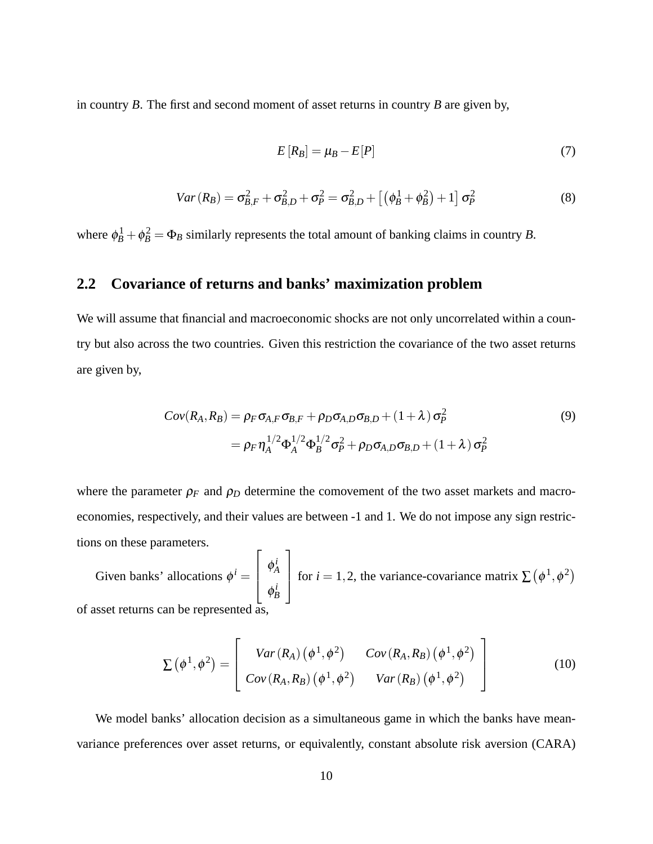in country *B*. The first and second moment of asset returns in country *B* are given by,

$$
E[R_B] = \mu_B - E[P] \tag{7}
$$

$$
Var(R_B) = \sigma_{B,F}^2 + \sigma_{B,D}^2 + \sigma_P^2 = \sigma_{B,D}^2 + [(\phi_B^1 + \phi_B^2) + 1] \sigma_P^2
$$
 (8)

where  $\phi_B^1 + \phi_B^2 = \Phi_B$  similarly represents the total amount of banking claims in country *B*.

# **2.2 Covariance of returns and banks' maximization problem**

We will assume that financial and macroeconomic shocks are not only uncorrelated within a country but also across the two countries. Given this restriction the covariance of the two asset returns are given by,

$$
Cov(R_A, R_B) = \rho_F \sigma_{A,F} \sigma_{B,F} + \rho_D \sigma_{A,D} \sigma_{B,D} + (1 + \lambda) \sigma_P^2
$$
  
=  $\rho_F \eta_A^{1/2} \Phi_A^{1/2} \Phi_B^{1/2} \sigma_P^2 + \rho_D \sigma_{A,D} \sigma_{B,D} + (1 + \lambda) \sigma_P^2$  (9)

where the parameter  $\rho_F$  and  $\rho_D$  determine the comovement of the two asset markets and macroeconomies, respectively, and their values are between -1 and 1. We do not impose any sign restrictions on these parameters.

Given banks' allocations  $\phi^i$  =  $\sqrt{2}$  $\left| \right|$  $\phi^i_A$ *A*  $\phi_B^i$ 3 for *i* = 1,2, the variance-covariance matrix  $\sum (\phi^1, \phi^2)$ of asset returns can be represented as,

$$
\Sigma(\phi^1, \phi^2) = \begin{bmatrix} Var(R_A) (\phi^1, \phi^2) & Cov(R_A, R_B) (\phi^1, \phi^2) \\ Cov(R_A, R_B) (\phi^1, \phi^2) & Var(R_B) (\phi^1, \phi^2) \end{bmatrix}
$$
(10)

We model banks' allocation decision as a simultaneous game in which the banks have meanvariance preferences over asset returns, or equivalently, constant absolute risk aversion (CARA)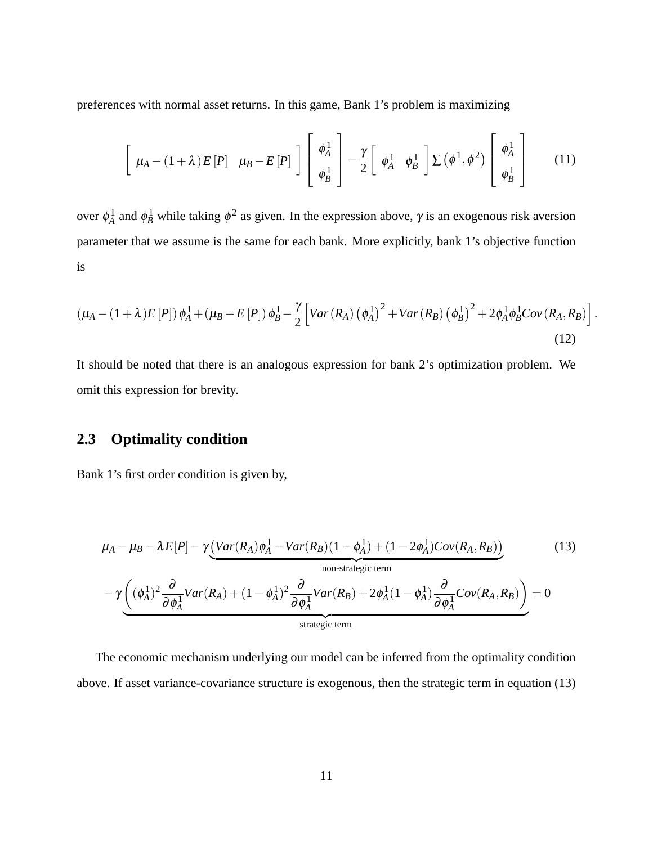preferences with normal asset returns. In this game, Bank 1's problem is maximizing

$$
\left[\begin{array}{cc} \mu_A - (1+\lambda)E[P] & \mu_B - E[P] \end{array}\right] \left[\begin{array}{c} \phi_A^1 \\ \phi_B^1 \end{array}\right] - \frac{\gamma}{2} \left[\begin{array}{cc} \phi_A^1 & \phi_B^1 \end{array}\right] \sum (\phi^1, \phi^2) \left[\begin{array}{c} \phi_A^1 \\ \phi_B^1 \end{array}\right] \tag{11}
$$

over  $\phi_A^1$  and  $\phi_B^1$  while taking  $\phi^2$  as given. In the expression above,  $\gamma$  is an exogenous risk aversion parameter that we assume is the same for each bank. More explicitly, bank 1's objective function is

$$
\left(\mu_A - (1+\lambda)E[P]\right)\phi_A^1 + \left(\mu_B - E[P]\right)\phi_B^1 - \frac{\gamma}{2}\left[Var(R_A)\left(\phi_A^1\right)^2 + Var(R_B)\left(\phi_B^1\right)^2 + 2\phi_A^1\phi_B^1Cov(R_A, R_B)\right]
$$
\n(12)

:

It should be noted that there is an analogous expression for bank 2's optimization problem. We omit this expression for brevity.

## **2.3 Optimality condition**

Bank 1's first order condition is given by,

$$
\mu_A - \mu_B - \lambda E[P] - \gamma \underbrace{\left(Var(R_A)\phi_A^1 - Var(R_B)(1 - \phi_A^1) + (1 - 2\phi_A^1)Cov(R_A, R_B)\right)}_{\text{non-strategic term}} - \gamma \underbrace{\left((\phi_A^1)^2 \frac{\partial}{\partial \phi_A^1} Var(R_A) + (1 - \phi_A^1)^2 \frac{\partial}{\partial \phi_A^1} Var(R_B) + 2\phi_A^1 (1 - \phi_A^1) \frac{\partial}{\partial \phi_A^1} Cov(R_A, R_B)\right)}_{\text{strategic term}} = 0
$$
\n(13)

The economic mechanism underlying our model can be inferred from the optimality condition above. If asset variance-covariance structure is exogenous, then the strategic term in equation (13)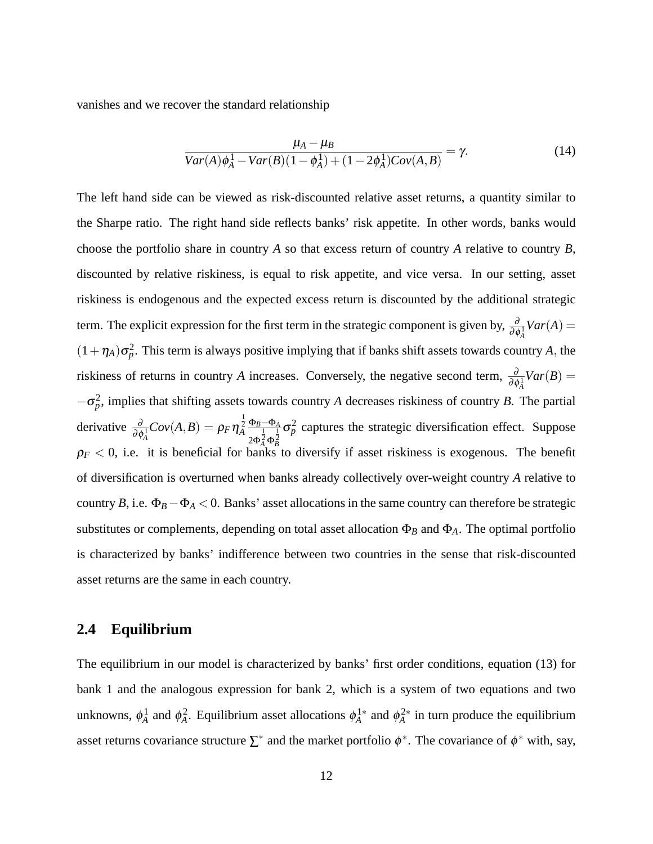vanishes and we recover the standard relationship

$$
\frac{\mu_A - \mu_B}{Var(A)\phi_A^1 - Var(B)(1 - \phi_A^1) + (1 - 2\phi_A^1)Cov(A, B)} = \gamma.
$$
 (14)

The left hand side can be viewed as risk-discounted relative asset returns, a quantity similar to the Sharpe ratio. The right hand side reflects banks' risk appetite. In other words, banks would choose the portfolio share in country *A* so that excess return of country *A* relative to country *B*, discounted by relative riskiness, is equal to risk appetite, and vice versa. In our setting, asset riskiness is endogenous and the expected excess return is discounted by the additional strategic term. The explicit expression for the first term in the strategic component is given by,  $\frac{\partial}{\partial \phi_A^1}Var(A)$  =  $(1+\eta_A)\sigma_p^2$ . This term is always positive implying that if banks shift assets towards country *A*, the riskiness of returns in country *A* increases. Conversely, the negative second term,  $\frac{\partial}{\partial \phi_A^1}Var(B)$  =  $-\sigma_p^2$ , implies that shifting assets towards country *A* decreases riskiness of country *B*. The partial derivative  $\frac{\partial}{\partial \phi_A^1}Cov(A, B) = \rho_F \eta_A^{\frac{1}{2}} \frac{\Phi_B - \Phi_A}{\partial \phi_A^2 \phi_A^2}$  $2Φ<sub>A</sub><sup>1</sup> Φ$ 1 2 *B*  $\sigma_p^2$  captures the strategic diversification effect. Suppose  $\rho_F$  < 0, i.e. it is beneficial for banks to diversify if asset riskiness is exogenous. The benefit of diversification is overturned when banks already collectively over-weight country *A* relative to country *B*, i.e.  $\Phi_B - \Phi_A < 0$ . Banks' asset allocations in the same country can therefore be strategic substitutes or complements, depending on total asset allocation Φ*<sup>B</sup>* and Φ*A*. The optimal portfolio is characterized by banks' indifference between two countries in the sense that risk-discounted asset returns are the same in each country.

### **2.4 Equilibrium**

The equilibrium in our model is characterized by banks' first order conditions, equation (13) for bank 1 and the analogous expression for bank 2, which is a system of two equations and two unknowns,  $\phi_A^1$  and  $\phi_A^2$ . Equilibrium asset allocations  $\phi_A^{1*}$  and  $\phi_A^{2*}$  in turn produce the equilibrium asset returns covariance structure  $\Sigma^*$  and the market portfolio  $\phi^*$ . The covariance of  $\phi^*$  with, say,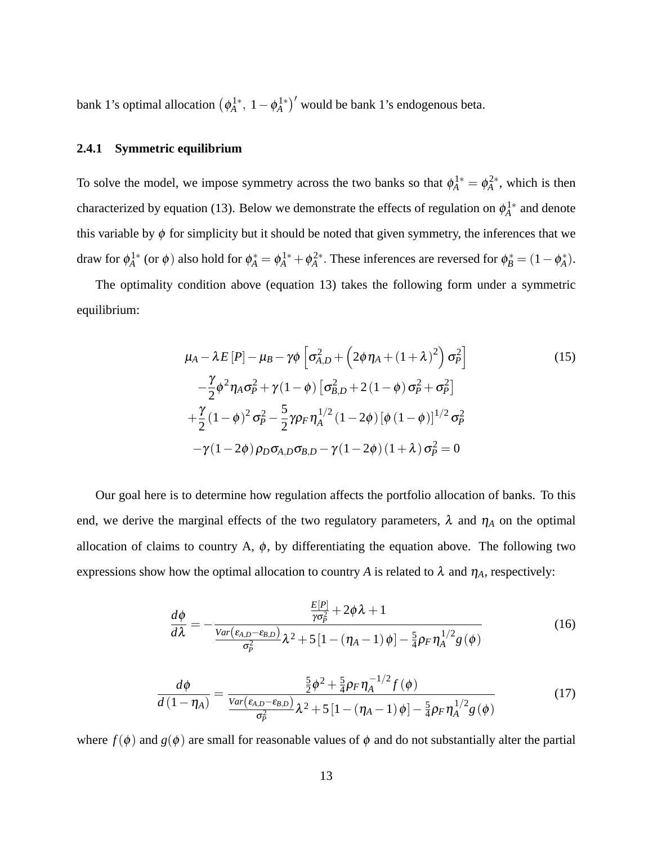bank 1's optimal allocation  $(\phi_A^{1*}, 1-\phi_A^{1*})'$  would be bank 1's endogenous beta.

### **2.4.1 Symmetric equilibrium**

To solve the model, we impose symmetry across the two banks so that  $\phi_A^{1*} = \phi_A^{2*}$ , which is then characterized by equation (13). Below we demonstrate the effects of regulation on  $\phi_A^{1*}$  and denote this variable by  $\phi$  for simplicity but it should be noted that given symmetry, the inferences that we draw for  $\phi_A^1$ <sup>\*</sup> (or  $\phi$ ) also hold for  $\phi_A^* = \phi_A^1$ <sup>\*</sup> +  $\phi_A^2$ <sup>\*</sup>. These inferences are reversed for  $\phi_B^* = (1 - \phi_A^*)$ .

The optimality condition above (equation 13) takes the following form under a symmetric equilibrium:

$$
\mu_A - \lambda E[P] - \mu_B - \gamma \phi \left[ \sigma_{A,D}^2 + \left( 2\phi \eta_A + (1+\lambda)^2 \right) \sigma_P^2 \right]
$$
\n
$$
- \frac{\gamma}{2} \phi^2 \eta_A \sigma_P^2 + \gamma (1-\phi) \left[ \sigma_{B,D}^2 + 2(1-\phi) \sigma_P^2 + \sigma_P^2 \right]
$$
\n
$$
+ \frac{\gamma}{2} (1-\phi)^2 \sigma_P^2 - \frac{5}{2} \gamma \rho_F \eta_A^{1/2} (1-2\phi) \left[ \phi (1-\phi) \right]^{1/2} \sigma_P^2
$$
\n
$$
- \gamma (1-2\phi) \rho_D \sigma_{A,D} \sigma_{B,D} - \gamma (1-2\phi) (1+\lambda) \sigma_P^2 = 0
$$
\n(15)

Our goal here is to determine how regulation affects the portfolio allocation of banks. To this end, we derive the marginal effects of the two regulatory parameters,  $\lambda$  and  $\eta_A$  on the optimal allocation of claims to country A,  $\phi$ , by differentiating the equation above. The following two expressions show how the optimal allocation to country *A* is related to  $\lambda$  and  $\eta_A$ , respectively:

$$
\frac{d\phi}{d\lambda} = -\frac{\frac{E[P]}{\gamma\sigma_P^2} + 2\phi\lambda + 1}{\frac{Var(\varepsilon_{A,D} - \varepsilon_{B,D})}{\sigma_P^2}\lambda^2 + 5\left[1 - (\eta_A - 1)\phi\right] - \frac{5}{4}\rho_F\eta_A^{1/2}g(\phi)}
$$
(16)

$$
\frac{d\phi}{d(1-\eta_A)} = \frac{\frac{5}{2}\phi^2 + \frac{5}{4}\rho_F\eta_A^{-1/2}f(\phi)}{\frac{Var(\varepsilon_{A,D}-\varepsilon_{B,D})}{\sigma_P^2}\lambda^2 + 5\left[1 - (\eta_A - 1)\phi\right] - \frac{5}{4}\rho_F\eta_A^{1/2}g(\phi)}
$$
(17)

where  $f(\phi)$  and  $g(\phi)$  are small for reasonable values of  $\phi$  and do not substantially alter the partial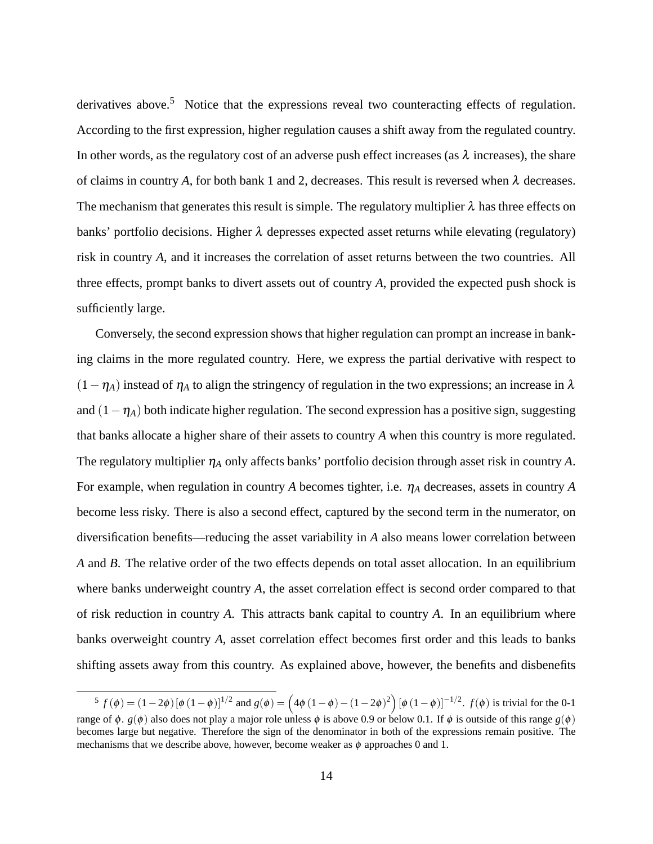derivatives above.<sup>5</sup> Notice that the expressions reveal two counteracting effects of regulation. According to the first expression, higher regulation causes a shift away from the regulated country. In other words, as the regulatory cost of an adverse push effect increases (as  $\lambda$  increases), the share of claims in country *A*, for both bank 1 and 2, decreases. This result is reversed when  $\lambda$  decreases. The mechanism that generates this result is simple. The regulatory multiplier  $\lambda$  has three effects on banks' portfolio decisions. Higher  $\lambda$  depresses expected asset returns while elevating (regulatory) risk in country *A*, and it increases the correlation of asset returns between the two countries. All three effects, prompt banks to divert assets out of country *A*, provided the expected push shock is sufficiently large.

Conversely, the second expression shows that higher regulation can prompt an increase in banking claims in the more regulated country. Here, we express the partial derivative with respect to  $(1 - \eta_A)$  instead of  $\eta_A$  to align the stringency of regulation in the two expressions; an increase in  $\lambda$ and  $(1 - \eta_A)$  both indicate higher regulation. The second expression has a positive sign, suggesting that banks allocate a higher share of their assets to country *A* when this country is more regulated. The regulatory multiplier  $\eta_A$  only affects banks' portfolio decision through asset risk in country *A*. For example, when regulation in country A becomes tighter, i.e.  $\eta_A$  decreases, assets in country A become less risky. There is also a second effect, captured by the second term in the numerator, on diversification benefits—reducing the asset variability in *A* also means lower correlation between *A* and *B*. The relative order of the two effects depends on total asset allocation. In an equilibrium where banks underweight country *A*, the asset correlation effect is second order compared to that of risk reduction in country *A*. This attracts bank capital to country *A*. In an equilibrium where banks overweight country *A*, asset correlation effect becomes first order and this leads to banks shifting assets away from this country. As explained above, however, the benefits and disbenefits

<sup>&</sup>lt;sup>5</sup>  $f(\phi) = (1-2\phi) [\phi (1-\phi)]^{1/2}$  and  $g(\phi) = (4\phi (1-\phi) - (1-2\phi)^2) [\phi (1-\phi)]^{-1/2}$ .  $f(\phi)$  is trivial for the 0-1 range of φ.  $g(φ)$  also does not play a major role unless φ is above 0.9 or below 0.1. If φ is outside of this range  $g(φ)$ becomes large but negative. Therefore the sign of the denominator in both of the expressions remain positive. The mechanisms that we describe above, however, become weaker as  $\phi$  approaches 0 and 1.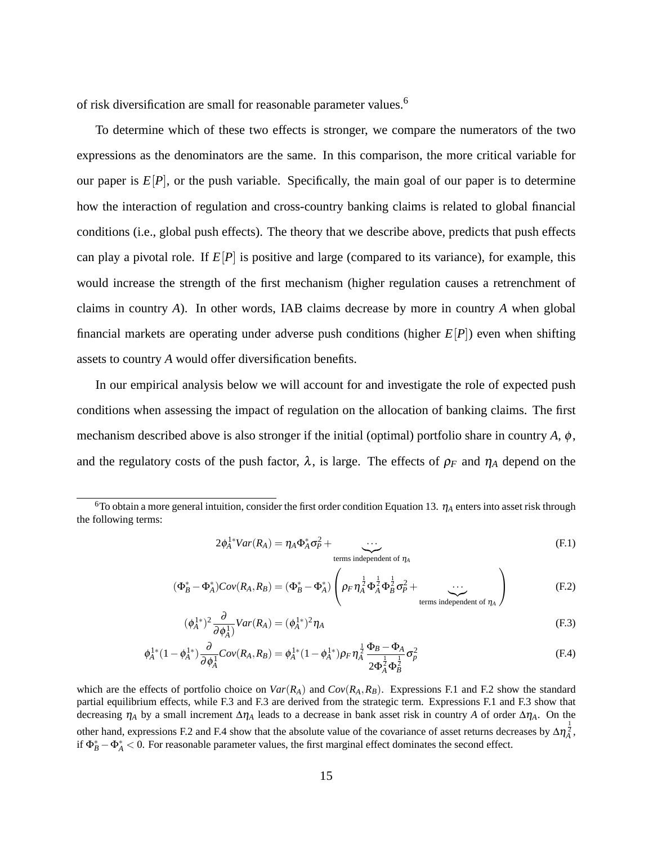of risk diversification are small for reasonable parameter values.<sup>6</sup>

To determine which of these two effects is stronger, we compare the numerators of the two expressions as the denominators are the same. In this comparison, the more critical variable for our paper is  $E[P]$ , or the push variable. Specifically, the main goal of our paper is to determine how the interaction of regulation and cross-country banking claims is related to global financial conditions (i.e., global push effects). The theory that we describe above, predicts that push effects can play a pivotal role. If  $E[P]$  is positive and large (compared to its variance), for example, this would increase the strength of the first mechanism (higher regulation causes a retrenchment of claims in country *A*). In other words, IAB claims decrease by more in country *A* when global financial markets are operating under adverse push conditions (higher *E*[*P*]) even when shifting assets to country *A* would offer diversification benefits.

In our empirical analysis below we will account for and investigate the role of expected push conditions when assessing the impact of regulation on the allocation of banking claims. The first mechanism described above is also stronger if the initial (optimal) portfolio share in country  $A$ ,  $\phi$ , and the regulatory costs of the push factor,  $\lambda$ , is large. The effects of  $\rho_F$  and  $\eta_A$  depend on the

$$
2\phi_A^{1*}Var(R_A) = \eta_A \Phi_A^* \sigma_P^2 + \underbrace{\cdots}_{\text{terms independent of } \eta_A}
$$
 (F.1)

$$
(\Phi_B^* - \Phi_A^*)Cov(R_A, R_B) = (\Phi_B^* - \Phi_A^*)\left(\rho_F \eta_A^{\frac{1}{2}} \Phi_A^{\frac{1}{2}} \Phi_B^{\frac{1}{2}} \sigma_P^2 + \dots \right)
$$
\n(F.2)

$$
(\phi_A^{1*})^2 \frac{\partial}{\partial \phi_A^1} Var(R_A) = (\phi_A^{1*})^2 \eta_A
$$
\n(F.3)

$$
\phi_A^{1*}(1-\phi_A^{1*})\frac{\partial}{\partial \phi_A^1}Cov(R_A,R_B) = \phi_A^{1*}(1-\phi_A^{1*})\rho_F\eta_A^{\frac{1}{2}}\frac{\Phi_B-\Phi_A}{2\Phi_A^{\frac{1}{2}}\Phi_B^{\frac{1}{2}}} \sigma_p^2
$$
(F.4)

which are the effects of portfolio choice on  $Var(R_A)$  and  $Cov(R_A, R_B)$ . Expressions F.1 and F.2 show the standard partial equilibrium effects, while F.3 and F.3 are derived from the strategic term. Expressions F.1 and F.3 show that decreasing  $\eta_A$  by a small increment  $\Delta \eta_A$  leads to a decrease in bank asset risk in country *A* of order  $\Delta \eta_A$ . On the other hand, expressions F.2 and F.4 show that the absolute value of the covariance of asset returns decreases by  $\Delta \eta_A^{\frac{1}{2}}$ , if  $\Phi_B^* - \Phi_A^* < 0$ . For reasonable parameter values, the first marginal effect dominates the second effect.

<sup>&</sup>lt;sup>6</sup>To obtain a more general intuition, consider the first order condition Equation 13.  $\eta_A$  enters into asset risk through the following terms: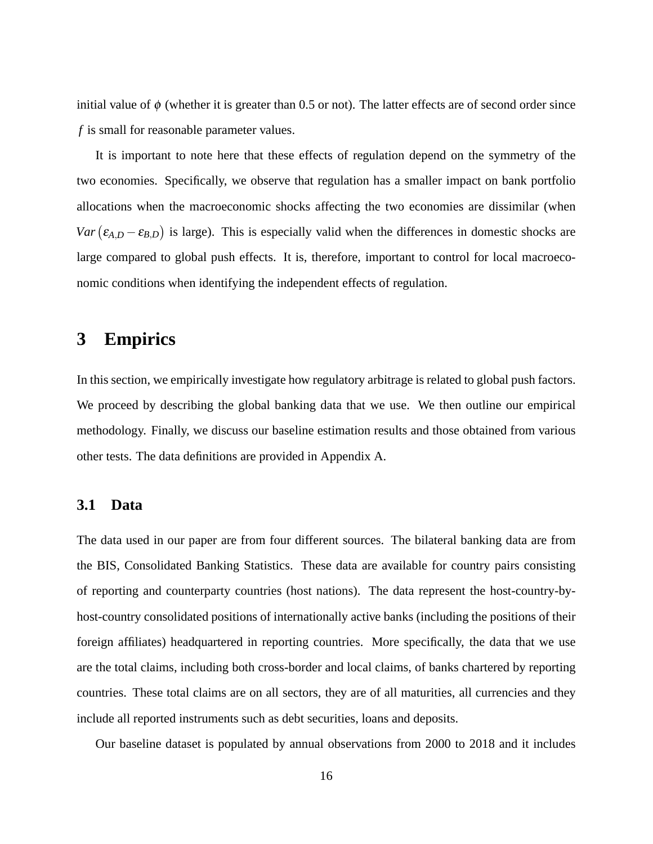initial value of  $\phi$  (whether it is greater than 0.5 or not). The latter effects are of second order since *f* is small for reasonable parameter values.

It is important to note here that these effects of regulation depend on the symmetry of the two economies. Specifically, we observe that regulation has a smaller impact on bank portfolio allocations when the macroeconomic shocks affecting the two economies are dissimilar (when  $Var(\epsilon_{A,D} - \epsilon_{B,D})$  is large). This is especially valid when the differences in domestic shocks are large compared to global push effects. It is, therefore, important to control for local macroeconomic conditions when identifying the independent effects of regulation.

# **3 Empirics**

In this section, we empirically investigate how regulatory arbitrage is related to global push factors. We proceed by describing the global banking data that we use. We then outline our empirical methodology. Finally, we discuss our baseline estimation results and those obtained from various other tests. The data definitions are provided in Appendix A.

### **3.1 Data**

The data used in our paper are from four different sources. The bilateral banking data are from the BIS, Consolidated Banking Statistics. These data are available for country pairs consisting of reporting and counterparty countries (host nations). The data represent the host-country-byhost-country consolidated positions of internationally active banks (including the positions of their foreign affiliates) headquartered in reporting countries. More specifically, the data that we use are the total claims, including both cross-border and local claims, of banks chartered by reporting countries. These total claims are on all sectors, they are of all maturities, all currencies and they include all reported instruments such as debt securities, loans and deposits.

Our baseline dataset is populated by annual observations from 2000 to 2018 and it includes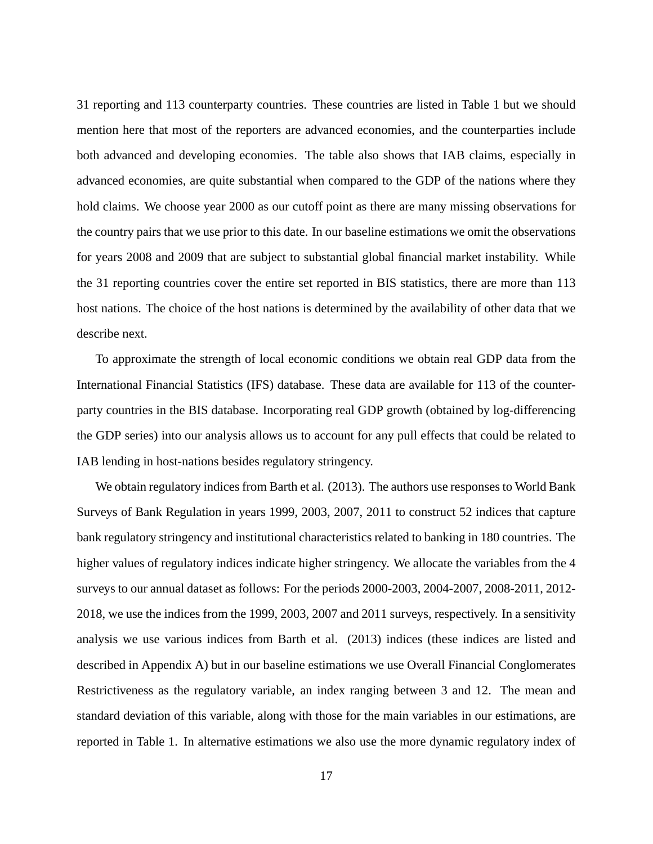31 reporting and 113 counterparty countries. These countries are listed in Table 1 but we should mention here that most of the reporters are advanced economies, and the counterparties include both advanced and developing economies. The table also shows that IAB claims, especially in advanced economies, are quite substantial when compared to the GDP of the nations where they hold claims. We choose year 2000 as our cutoff point as there are many missing observations for the country pairs that we use prior to this date. In our baseline estimations we omit the observations for years 2008 and 2009 that are subject to substantial global financial market instability. While the 31 reporting countries cover the entire set reported in BIS statistics, there are more than 113 host nations. The choice of the host nations is determined by the availability of other data that we describe next.

To approximate the strength of local economic conditions we obtain real GDP data from the International Financial Statistics (IFS) database. These data are available for 113 of the counterparty countries in the BIS database. Incorporating real GDP growth (obtained by log-differencing the GDP series) into our analysis allows us to account for any pull effects that could be related to IAB lending in host-nations besides regulatory stringency.

We obtain regulatory indices from Barth et al. (2013). The authors use responses to World Bank Surveys of Bank Regulation in years 1999, 2003, 2007, 2011 to construct 52 indices that capture bank regulatory stringency and institutional characteristics related to banking in 180 countries. The higher values of regulatory indices indicate higher stringency. We allocate the variables from the 4 surveys to our annual dataset as follows: For the periods 2000-2003, 2004-2007, 2008-2011, 2012- 2018, we use the indices from the 1999, 2003, 2007 and 2011 surveys, respectively. In a sensitivity analysis we use various indices from Barth et al. (2013) indices (these indices are listed and described in Appendix A) but in our baseline estimations we use Overall Financial Conglomerates Restrictiveness as the regulatory variable, an index ranging between 3 and 12. The mean and standard deviation of this variable, along with those for the main variables in our estimations, are reported in Table 1. In alternative estimations we also use the more dynamic regulatory index of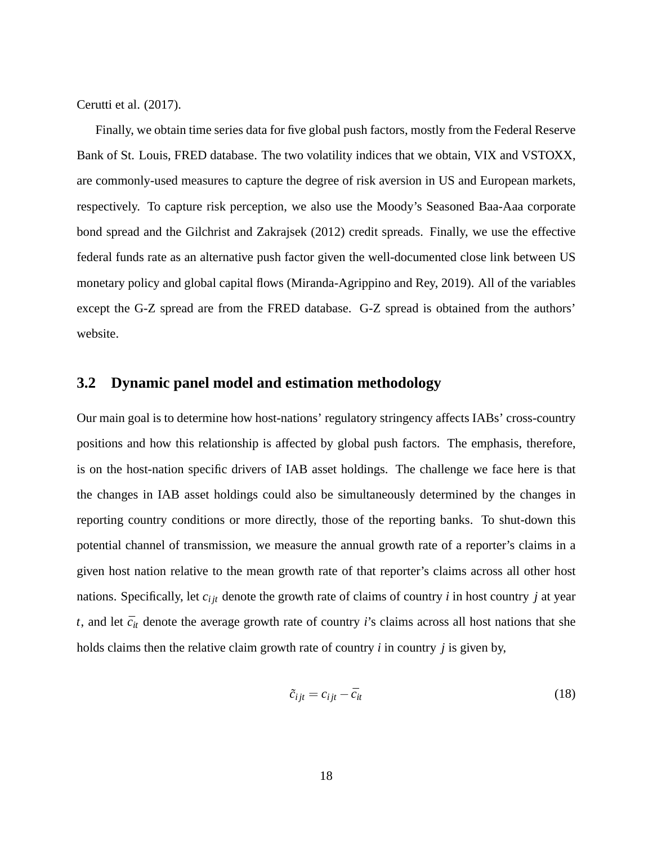Cerutti et al. (2017).

Finally, we obtain time series data for five global push factors, mostly from the Federal Reserve Bank of St. Louis, FRED database. The two volatility indices that we obtain, VIX and VSTOXX, are commonly-used measures to capture the degree of risk aversion in US and European markets, respectively. To capture risk perception, we also use the Moody's Seasoned Baa-Aaa corporate bond spread and the Gilchrist and Zakrajsek (2012) credit spreads. Finally, we use the effective federal funds rate as an alternative push factor given the well-documented close link between US monetary policy and global capital flows (Miranda-Agrippino and Rey, 2019). All of the variables except the G-Z spread are from the FRED database. G-Z spread is obtained from the authors' website.

### **3.2 Dynamic panel model and estimation methodology**

Our main goal is to determine how host-nations' regulatory stringency affects IABs' cross-country positions and how this relationship is affected by global push factors. The emphasis, therefore, is on the host-nation specific drivers of IAB asset holdings. The challenge we face here is that the changes in IAB asset holdings could also be simultaneously determined by the changes in reporting country conditions or more directly, those of the reporting banks. To shut-down this potential channel of transmission, we measure the annual growth rate of a reporter's claims in a given host nation relative to the mean growth rate of that reporter's claims across all other host nations. Specifically, let *ci jt* denote the growth rate of claims of country *i* in host country *j* at year  $t$ , and let  $\bar{c}_{it}$  denote the average growth rate of country *i*'s claims across all host nations that she holds claims then the relative claim growth rate of country *i* in country *j* is given by,

$$
\tilde{c}_{ijt} = c_{ijt} - \bar{c}_{it} \tag{18}
$$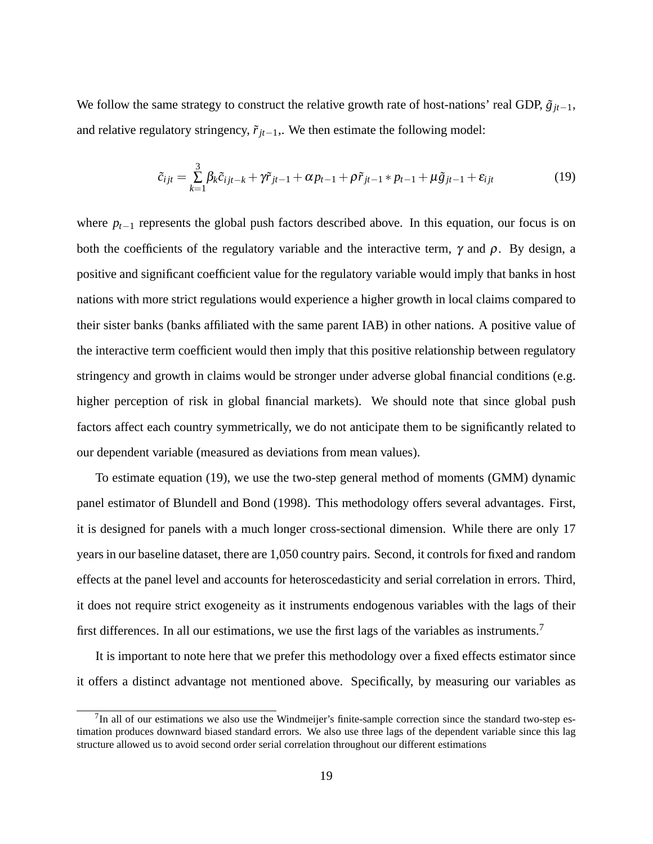We follow the same strategy to construct the relative growth rate of host-nations' real GDP,  $\tilde{g}_{it-1}$ , and relative regulatory stringency,  $\tilde{r}_{it-1}$ ,. We then estimate the following model:

$$
\tilde{c}_{ijt} = \sum_{k=1}^{3} \beta_k \tilde{c}_{ijt-k} + \gamma \tilde{r}_{jt-1} + \alpha p_{t-1} + \rho \tilde{r}_{jt-1} * p_{t-1} + \mu \tilde{g}_{jt-1} + \varepsilon_{ijt}
$$
\n(19)

where  $p_{t-1}$  represents the global push factors described above. In this equation, our focus is on both the coefficients of the regulatory variable and the interactive term,  $\gamma$  and  $\rho$ . By design, a positive and significant coefficient value for the regulatory variable would imply that banks in host nations with more strict regulations would experience a higher growth in local claims compared to their sister banks (banks affiliated with the same parent IAB) in other nations. A positive value of the interactive term coefficient would then imply that this positive relationship between regulatory stringency and growth in claims would be stronger under adverse global financial conditions (e.g. higher perception of risk in global financial markets). We should note that since global push factors affect each country symmetrically, we do not anticipate them to be significantly related to our dependent variable (measured as deviations from mean values).

To estimate equation (19), we use the two-step general method of moments (GMM) dynamic panel estimator of Blundell and Bond (1998). This methodology offers several advantages. First, it is designed for panels with a much longer cross-sectional dimension. While there are only 17 years in our baseline dataset, there are 1,050 country pairs. Second, it controls for fixed and random effects at the panel level and accounts for heteroscedasticity and serial correlation in errors. Third, it does not require strict exogeneity as it instruments endogenous variables with the lags of their first differences. In all our estimations, we use the first lags of the variables as instruments.<sup>7</sup>

It is important to note here that we prefer this methodology over a fixed effects estimator since it offers a distinct advantage not mentioned above. Specifically, by measuring our variables as

 $7$ In all of our estimations we also use the Windmeijer's finite-sample correction since the standard two-step estimation produces downward biased standard errors. We also use three lags of the dependent variable since this lag structure allowed us to avoid second order serial correlation throughout our different estimations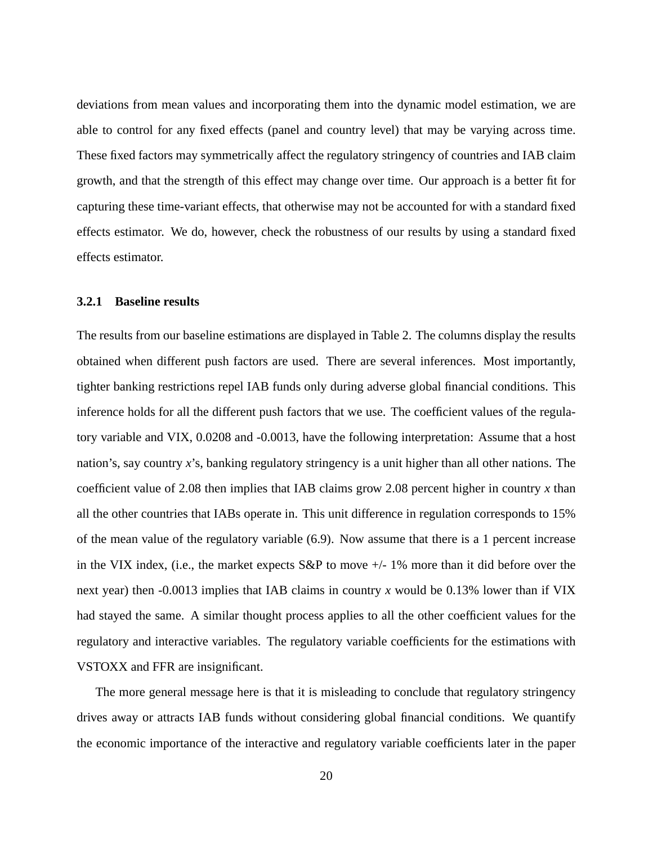deviations from mean values and incorporating them into the dynamic model estimation, we are able to control for any fixed effects (panel and country level) that may be varying across time. These fixed factors may symmetrically affect the regulatory stringency of countries and IAB claim growth, and that the strength of this effect may change over time. Our approach is a better fit for capturing these time-variant effects, that otherwise may not be accounted for with a standard fixed effects estimator. We do, however, check the robustness of our results by using a standard fixed effects estimator.

### **3.2.1 Baseline results**

The results from our baseline estimations are displayed in Table 2. The columns display the results obtained when different push factors are used. There are several inferences. Most importantly, tighter banking restrictions repel IAB funds only during adverse global financial conditions. This inference holds for all the different push factors that we use. The coefficient values of the regulatory variable and VIX, 0.0208 and -0.0013, have the following interpretation: Assume that a host nation's, say country *x*'s, banking regulatory stringency is a unit higher than all other nations. The coefficient value of 2.08 then implies that IAB claims grow 2.08 percent higher in country *x* than all the other countries that IABs operate in. This unit difference in regulation corresponds to 15% of the mean value of the regulatory variable (6.9). Now assume that there is a 1 percent increase in the VIX index, (i.e., the market expects  $S\&P$  to move  $+/-1\%$  more than it did before over the next year) then -0.0013 implies that IAB claims in country *x* would be 0.13% lower than if VIX had stayed the same. A similar thought process applies to all the other coefficient values for the regulatory and interactive variables. The regulatory variable coefficients for the estimations with VSTOXX and FFR are insignificant.

The more general message here is that it is misleading to conclude that regulatory stringency drives away or attracts IAB funds without considering global financial conditions. We quantify the economic importance of the interactive and regulatory variable coefficients later in the paper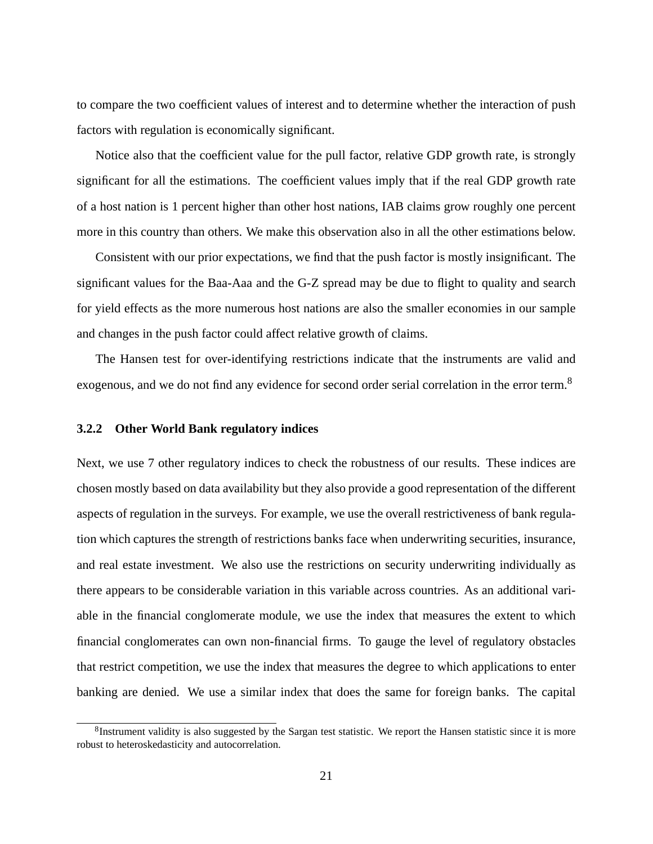to compare the two coefficient values of interest and to determine whether the interaction of push factors with regulation is economically significant.

Notice also that the coefficient value for the pull factor, relative GDP growth rate, is strongly significant for all the estimations. The coefficient values imply that if the real GDP growth rate of a host nation is 1 percent higher than other host nations, IAB claims grow roughly one percent more in this country than others. We make this observation also in all the other estimations below.

Consistent with our prior expectations, we find that the push factor is mostly insignificant. The significant values for the Baa-Aaa and the G-Z spread may be due to flight to quality and search for yield effects as the more numerous host nations are also the smaller economies in our sample and changes in the push factor could affect relative growth of claims.

The Hansen test for over-identifying restrictions indicate that the instruments are valid and exogenous, and we do not find any evidence for second order serial correlation in the error term.<sup>8</sup>

### **3.2.2 Other World Bank regulatory indices**

Next, we use 7 other regulatory indices to check the robustness of our results. These indices are chosen mostly based on data availability but they also provide a good representation of the different aspects of regulation in the surveys. For example, we use the overall restrictiveness of bank regulation which captures the strength of restrictions banks face when underwriting securities, insurance, and real estate investment. We also use the restrictions on security underwriting individually as there appears to be considerable variation in this variable across countries. As an additional variable in the financial conglomerate module, we use the index that measures the extent to which financial conglomerates can own non-financial firms. To gauge the level of regulatory obstacles that restrict competition, we use the index that measures the degree to which applications to enter banking are denied. We use a similar index that does the same for foreign banks. The capital

 ${}^{8}$ Instrument validity is also suggested by the Sargan test statistic. We report the Hansen statistic since it is more robust to heteroskedasticity and autocorrelation.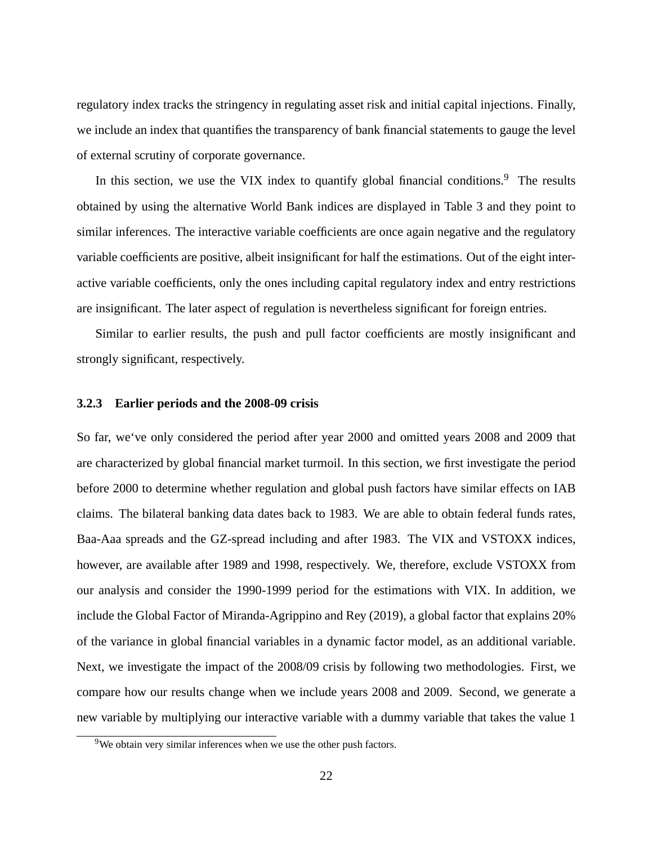regulatory index tracks the stringency in regulating asset risk and initial capital injections. Finally, we include an index that quantifies the transparency of bank financial statements to gauge the level of external scrutiny of corporate governance.

In this section, we use the VIX index to quantify global financial conditions.<sup>9</sup> The results obtained by using the alternative World Bank indices are displayed in Table 3 and they point to similar inferences. The interactive variable coefficients are once again negative and the regulatory variable coefficients are positive, albeit insignificant for half the estimations. Out of the eight interactive variable coefficients, only the ones including capital regulatory index and entry restrictions are insignificant. The later aspect of regulation is nevertheless significant for foreign entries.

Similar to earlier results, the push and pull factor coefficients are mostly insignificant and strongly significant, respectively.

### **3.2.3 Earlier periods and the 2008-09 crisis**

So far, we've only considered the period after year 2000 and omitted years 2008 and 2009 that are characterized by global financial market turmoil. In this section, we first investigate the period before 2000 to determine whether regulation and global push factors have similar effects on IAB claims. The bilateral banking data dates back to 1983. We are able to obtain federal funds rates, Baa-Aaa spreads and the GZ-spread including and after 1983. The VIX and VSTOXX indices, however, are available after 1989 and 1998, respectively. We, therefore, exclude VSTOXX from our analysis and consider the 1990-1999 period for the estimations with VIX. In addition, we include the Global Factor of Miranda-Agrippino and Rey (2019), a global factor that explains 20% of the variance in global financial variables in a dynamic factor model, as an additional variable. Next, we investigate the impact of the 2008/09 crisis by following two methodologies. First, we compare how our results change when we include years 2008 and 2009. Second, we generate a new variable by multiplying our interactive variable with a dummy variable that takes the value 1

 $9$ We obtain very similar inferences when we use the other push factors.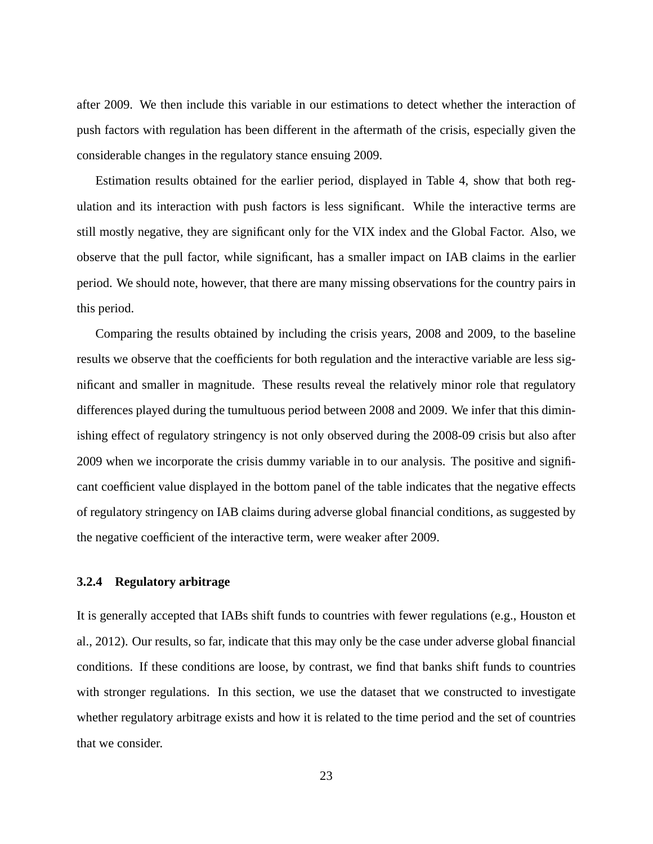after 2009. We then include this variable in our estimations to detect whether the interaction of push factors with regulation has been different in the aftermath of the crisis, especially given the considerable changes in the regulatory stance ensuing 2009.

Estimation results obtained for the earlier period, displayed in Table 4, show that both regulation and its interaction with push factors is less significant. While the interactive terms are still mostly negative, they are significant only for the VIX index and the Global Factor. Also, we observe that the pull factor, while significant, has a smaller impact on IAB claims in the earlier period. We should note, however, that there are many missing observations for the country pairs in this period.

Comparing the results obtained by including the crisis years, 2008 and 2009, to the baseline results we observe that the coefficients for both regulation and the interactive variable are less significant and smaller in magnitude. These results reveal the relatively minor role that regulatory differences played during the tumultuous period between 2008 and 2009. We infer that this diminishing effect of regulatory stringency is not only observed during the 2008-09 crisis but also after 2009 when we incorporate the crisis dummy variable in to our analysis. The positive and significant coefficient value displayed in the bottom panel of the table indicates that the negative effects of regulatory stringency on IAB claims during adverse global financial conditions, as suggested by the negative coefficient of the interactive term, were weaker after 2009.

### **3.2.4 Regulatory arbitrage**

It is generally accepted that IABs shift funds to countries with fewer regulations (e.g., Houston et al., 2012). Our results, so far, indicate that this may only be the case under adverse global financial conditions. If these conditions are loose, by contrast, we find that banks shift funds to countries with stronger regulations. In this section, we use the dataset that we constructed to investigate whether regulatory arbitrage exists and how it is related to the time period and the set of countries that we consider.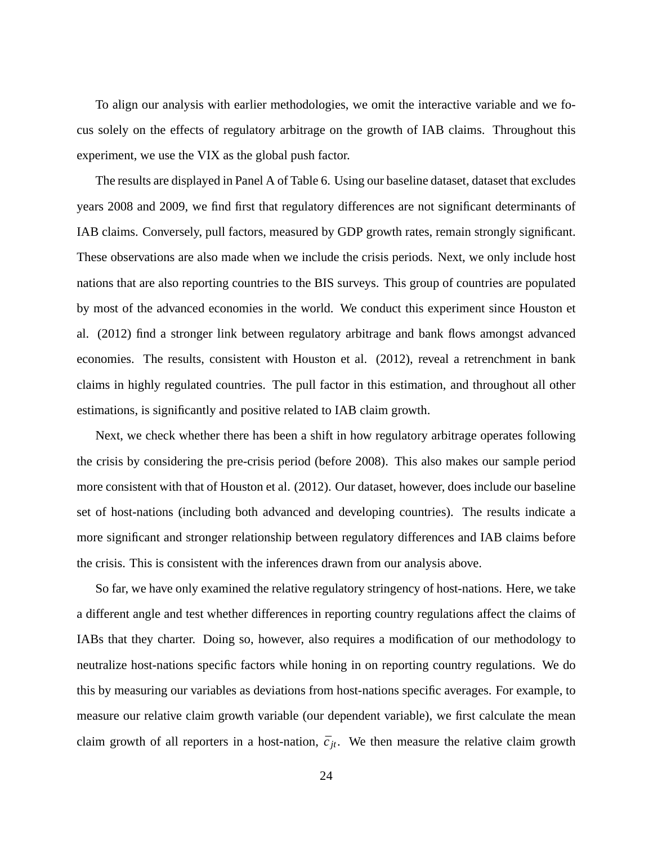To align our analysis with earlier methodologies, we omit the interactive variable and we focus solely on the effects of regulatory arbitrage on the growth of IAB claims. Throughout this experiment, we use the VIX as the global push factor.

The results are displayed in Panel A of Table 6. Using our baseline dataset, dataset that excludes years 2008 and 2009, we find first that regulatory differences are not significant determinants of IAB claims. Conversely, pull factors, measured by GDP growth rates, remain strongly significant. These observations are also made when we include the crisis periods. Next, we only include host nations that are also reporting countries to the BIS surveys. This group of countries are populated by most of the advanced economies in the world. We conduct this experiment since Houston et al. (2012) find a stronger link between regulatory arbitrage and bank flows amongst advanced economies. The results, consistent with Houston et al. (2012), reveal a retrenchment in bank claims in highly regulated countries. The pull factor in this estimation, and throughout all other estimations, is significantly and positive related to IAB claim growth.

Next, we check whether there has been a shift in how regulatory arbitrage operates following the crisis by considering the pre-crisis period (before 2008). This also makes our sample period more consistent with that of Houston et al. (2012). Our dataset, however, does include our baseline set of host-nations (including both advanced and developing countries). The results indicate a more significant and stronger relationship between regulatory differences and IAB claims before the crisis. This is consistent with the inferences drawn from our analysis above.

So far, we have only examined the relative regulatory stringency of host-nations. Here, we take a different angle and test whether differences in reporting country regulations affect the claims of IABs that they charter. Doing so, however, also requires a modification of our methodology to neutralize host-nations specific factors while honing in on reporting country regulations. We do this by measuring our variables as deviations from host-nations specific averages. For example, to measure our relative claim growth variable (our dependent variable), we first calculate the mean claim growth of all reporters in a host-nation,  $\bar{c}_{it}$ . We then measure the relative claim growth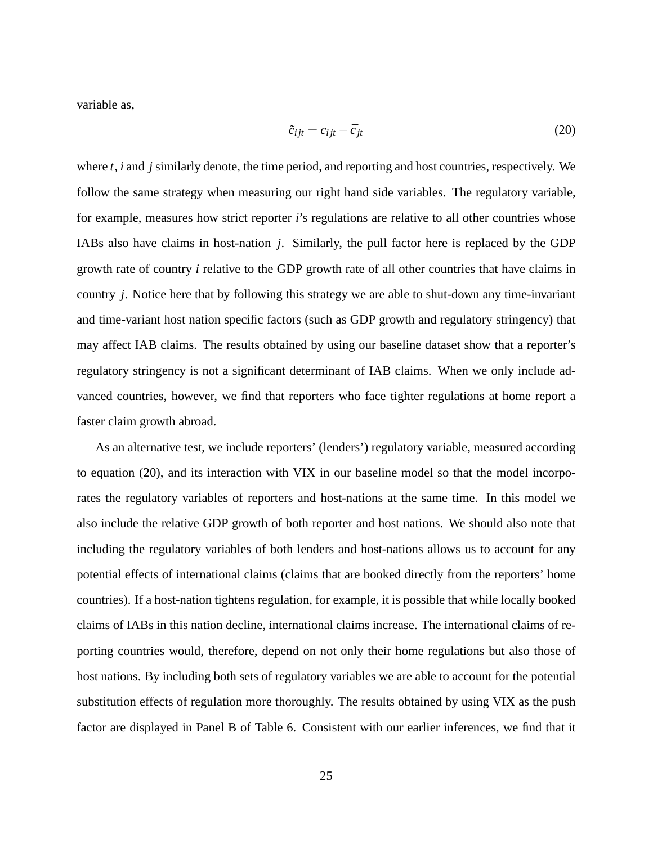variable as,

$$
\tilde{c}_{ijt} = c_{ijt} - \bar{c}_{jt} \tag{20}
$$

where *t*, *i* and *j* similarly denote, the time period, and reporting and host countries, respectively. We follow the same strategy when measuring our right hand side variables. The regulatory variable, for example, measures how strict reporter *i*'s regulations are relative to all other countries whose IABs also have claims in host-nation *j*. Similarly, the pull factor here is replaced by the GDP growth rate of country *i* relative to the GDP growth rate of all other countries that have claims in country *j*. Notice here that by following this strategy we are able to shut-down any time-invariant and time-variant host nation specific factors (such as GDP growth and regulatory stringency) that may affect IAB claims. The results obtained by using our baseline dataset show that a reporter's regulatory stringency is not a significant determinant of IAB claims. When we only include advanced countries, however, we find that reporters who face tighter regulations at home report a faster claim growth abroad.

As an alternative test, we include reporters' (lenders') regulatory variable, measured according to equation (20), and its interaction with VIX in our baseline model so that the model incorporates the regulatory variables of reporters and host-nations at the same time. In this model we also include the relative GDP growth of both reporter and host nations. We should also note that including the regulatory variables of both lenders and host-nations allows us to account for any potential effects of international claims (claims that are booked directly from the reporters' home countries). If a host-nation tightens regulation, for example, it is possible that while locally booked claims of IABs in this nation decline, international claims increase. The international claims of reporting countries would, therefore, depend on not only their home regulations but also those of host nations. By including both sets of regulatory variables we are able to account for the potential substitution effects of regulation more thoroughly. The results obtained by using VIX as the push factor are displayed in Panel B of Table 6. Consistent with our earlier inferences, we find that it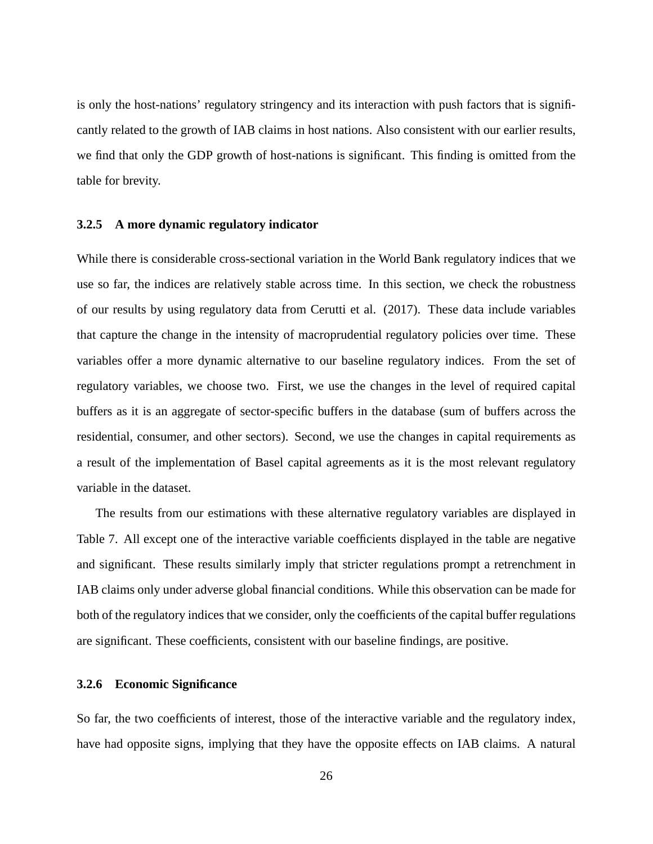is only the host-nations' regulatory stringency and its interaction with push factors that is significantly related to the growth of IAB claims in host nations. Also consistent with our earlier results, we find that only the GDP growth of host-nations is significant. This finding is omitted from the table for brevity.

### **3.2.5 A more dynamic regulatory indicator**

While there is considerable cross-sectional variation in the World Bank regulatory indices that we use so far, the indices are relatively stable across time. In this section, we check the robustness of our results by using regulatory data from Cerutti et al. (2017). These data include variables that capture the change in the intensity of macroprudential regulatory policies over time. These variables offer a more dynamic alternative to our baseline regulatory indices. From the set of regulatory variables, we choose two. First, we use the changes in the level of required capital buffers as it is an aggregate of sector-specific buffers in the database (sum of buffers across the residential, consumer, and other sectors). Second, we use the changes in capital requirements as a result of the implementation of Basel capital agreements as it is the most relevant regulatory variable in the dataset.

The results from our estimations with these alternative regulatory variables are displayed in Table 7. All except one of the interactive variable coefficients displayed in the table are negative and significant. These results similarly imply that stricter regulations prompt a retrenchment in IAB claims only under adverse global financial conditions. While this observation can be made for both of the regulatory indices that we consider, only the coefficients of the capital buffer regulations are significant. These coefficients, consistent with our baseline findings, are positive.

### **3.2.6 Economic Significance**

So far, the two coefficients of interest, those of the interactive variable and the regulatory index, have had opposite signs, implying that they have the opposite effects on IAB claims. A natural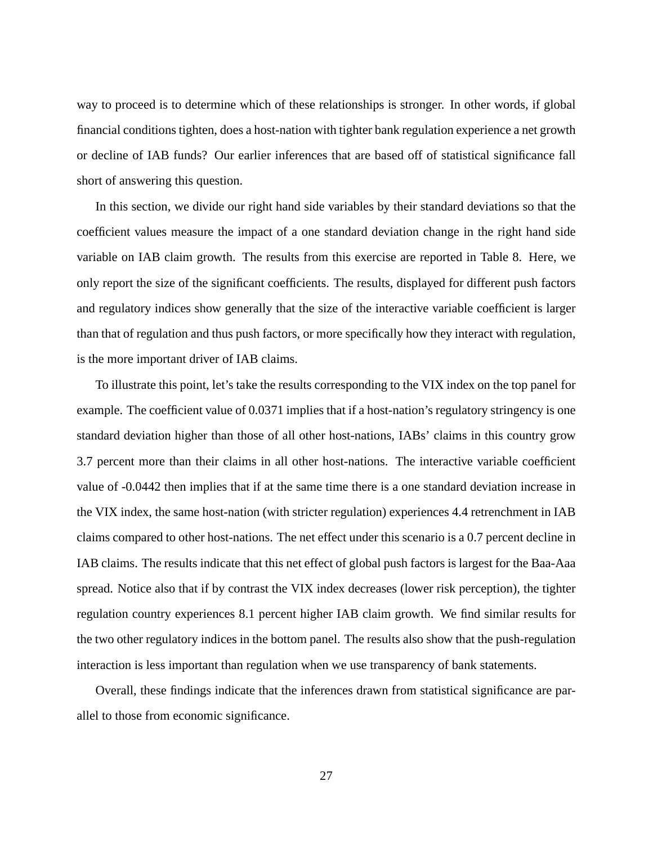way to proceed is to determine which of these relationships is stronger. In other words, if global financial conditions tighten, does a host-nation with tighter bank regulation experience a net growth or decline of IAB funds? Our earlier inferences that are based off of statistical significance fall short of answering this question.

In this section, we divide our right hand side variables by their standard deviations so that the coefficient values measure the impact of a one standard deviation change in the right hand side variable on IAB claim growth. The results from this exercise are reported in Table 8. Here, we only report the size of the significant coefficients. The results, displayed for different push factors and regulatory indices show generally that the size of the interactive variable coefficient is larger than that of regulation and thus push factors, or more specifically how they interact with regulation, is the more important driver of IAB claims.

To illustrate this point, let's take the results corresponding to the VIX index on the top panel for example. The coefficient value of 0.0371 implies that if a host-nation's regulatory stringency is one standard deviation higher than those of all other host-nations, IABs' claims in this country grow 3.7 percent more than their claims in all other host-nations. The interactive variable coefficient value of -0.0442 then implies that if at the same time there is a one standard deviation increase in the VIX index, the same host-nation (with stricter regulation) experiences 4.4 retrenchment in IAB claims compared to other host-nations. The net effect under this scenario is a 0.7 percent decline in IAB claims. The results indicate that this net effect of global push factors is largest for the Baa-Aaa spread. Notice also that if by contrast the VIX index decreases (lower risk perception), the tighter regulation country experiences 8.1 percent higher IAB claim growth. We find similar results for the two other regulatory indices in the bottom panel. The results also show that the push-regulation interaction is less important than regulation when we use transparency of bank statements.

Overall, these findings indicate that the inferences drawn from statistical significance are parallel to those from economic significance.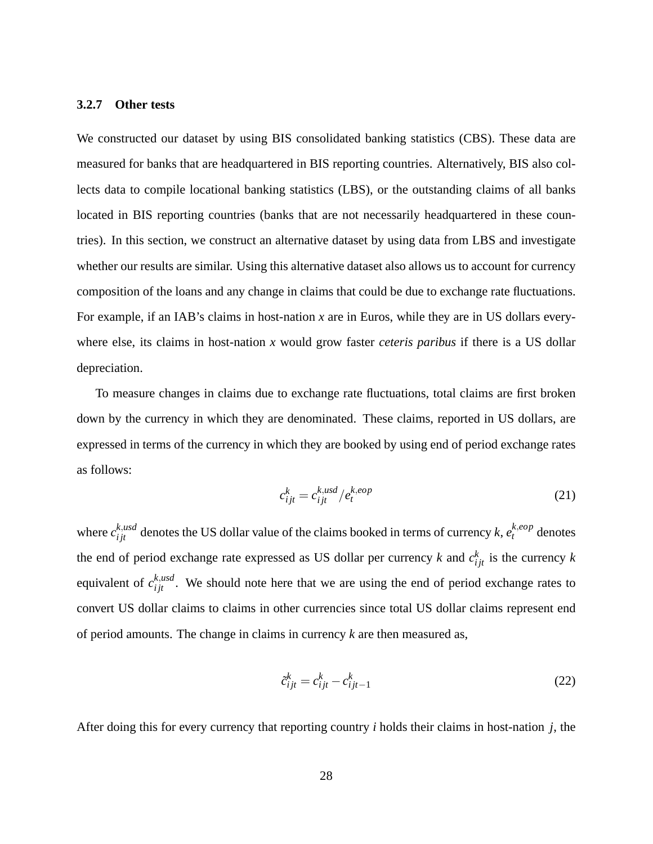### **3.2.7 Other tests**

We constructed our dataset by using BIS consolidated banking statistics (CBS). These data are measured for banks that are headquartered in BIS reporting countries. Alternatively, BIS also collects data to compile locational banking statistics (LBS), or the outstanding claims of all banks located in BIS reporting countries (banks that are not necessarily headquartered in these countries). In this section, we construct an alternative dataset by using data from LBS and investigate whether our results are similar. Using this alternative dataset also allows us to account for currency composition of the loans and any change in claims that could be due to exchange rate fluctuations. For example, if an IAB's claims in host-nation *x* are in Euros, while they are in US dollars everywhere else, its claims in host-nation *x* would grow faster *ceteris paribus* if there is a US dollar depreciation.

To measure changes in claims due to exchange rate fluctuations, total claims are first broken down by the currency in which they are denominated. These claims, reported in US dollars, are expressed in terms of the currency in which they are booked by using end of period exchange rates as follows:

$$
c_{ijt}^k = c_{ijt}^{k,usd} / e_t^{k,eop}
$$
 (21)

where  $c_{ijt}^{k,usd}$  denotes the US dollar value of the claims booked in terms of currency  $k, e_t^{k,eop}$  denotes the end of period exchange rate expressed as US dollar per currency  $k$  and  $c_{ijt}^k$  is the currency  $k$ equivalent of  $c_{ijt}^{k,usd}$ . We should note here that we are using the end of period exchange rates to convert US dollar claims to claims in other currencies since total US dollar claims represent end of period amounts. The change in claims in currency *k* are then measured as,

$$
\tilde{c}_{ijt}^k = c_{ijt}^k - c_{ijt-1}^k \tag{22}
$$

After doing this for every currency that reporting country *i* holds their claims in host-nation *j*, the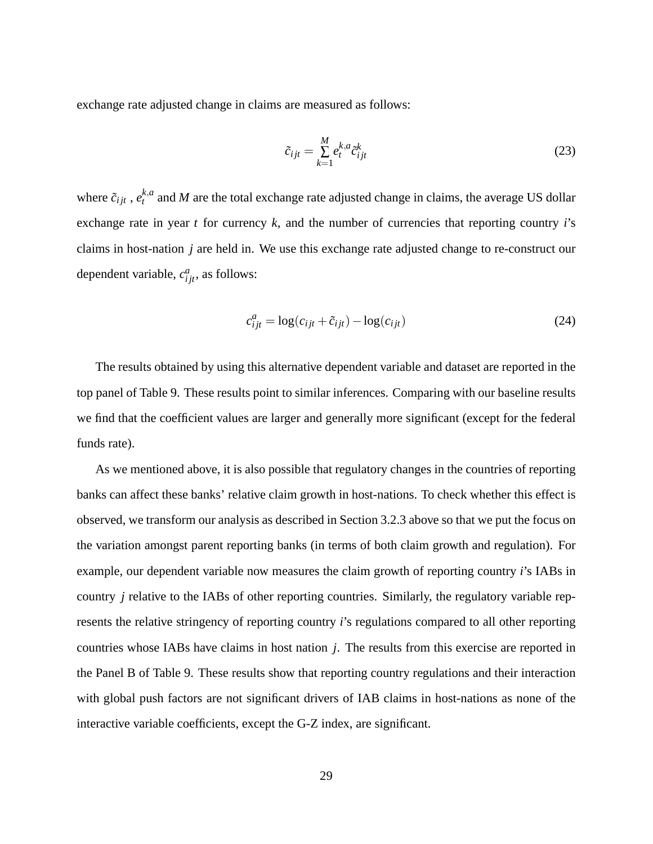exchange rate adjusted change in claims are measured as follows:

$$
\tilde{c}_{ijt} = \sum_{k=1}^{M} e_t^{k,a} \tilde{c}_{ijt}^k
$$
\n(23)

where  $\tilde{c}_{ijt}$  ,  $e^{k,a}_t$  $t_t^{\mu, a}$  and *M* are the total exchange rate adjusted change in claims, the average US dollar exchange rate in year *t* for currency *k*, and the number of currencies that reporting country *i*'s claims in host-nation *j* are held in. We use this exchange rate adjusted change to re-construct our dependent variable,  $c_{ijt}^a$ , as follows:

$$
c_{ijt}^a = \log(c_{ijt} + \tilde{c}_{ijt}) - \log(c_{ijt})
$$
\n(24)

The results obtained by using this alternative dependent variable and dataset are reported in the top panel of Table 9. These results point to similar inferences. Comparing with our baseline results we find that the coefficient values are larger and generally more significant (except for the federal funds rate).

As we mentioned above, it is also possible that regulatory changes in the countries of reporting banks can affect these banks' relative claim growth in host-nations. To check whether this effect is observed, we transform our analysis as described in Section 3.2.3 above so that we put the focus on the variation amongst parent reporting banks (in terms of both claim growth and regulation). For example, our dependent variable now measures the claim growth of reporting country *i*'s IABs in country *j* relative to the IABs of other reporting countries. Similarly, the regulatory variable represents the relative stringency of reporting country *i*'s regulations compared to all other reporting countries whose IABs have claims in host nation *j*. The results from this exercise are reported in the Panel B of Table 9. These results show that reporting country regulations and their interaction with global push factors are not significant drivers of IAB claims in host-nations as none of the interactive variable coefficients, except the G-Z index, are significant.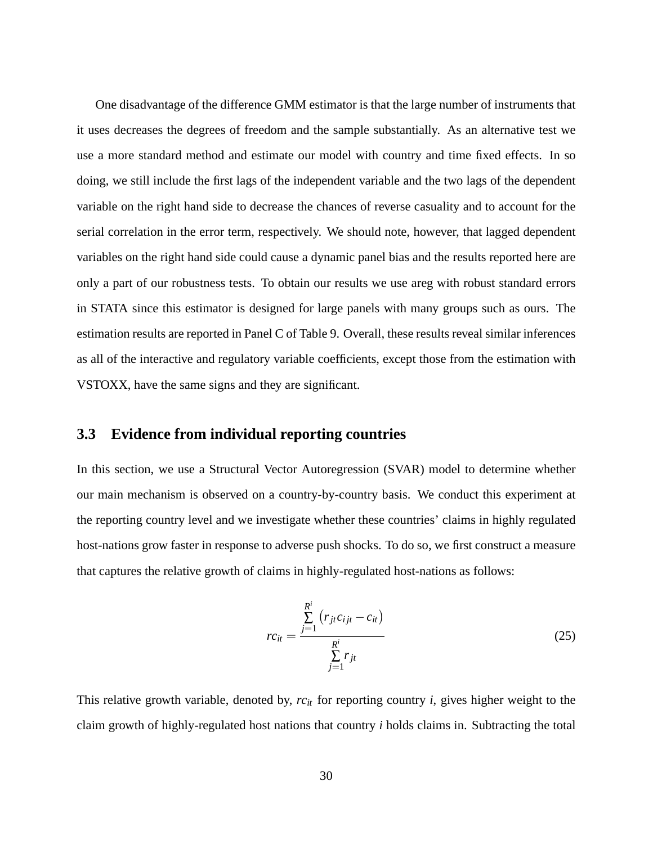One disadvantage of the difference GMM estimator is that the large number of instruments that it uses decreases the degrees of freedom and the sample substantially. As an alternative test we use a more standard method and estimate our model with country and time fixed effects. In so doing, we still include the first lags of the independent variable and the two lags of the dependent variable on the right hand side to decrease the chances of reverse casuality and to account for the serial correlation in the error term, respectively. We should note, however, that lagged dependent variables on the right hand side could cause a dynamic panel bias and the results reported here are only a part of our robustness tests. To obtain our results we use areg with robust standard errors in STATA since this estimator is designed for large panels with many groups such as ours. The estimation results are reported in Panel C of Table 9. Overall, these results reveal similar inferences as all of the interactive and regulatory variable coefficients, except those from the estimation with VSTOXX, have the same signs and they are significant.

### **3.3 Evidence from individual reporting countries**

In this section, we use a Structural Vector Autoregression (SVAR) model to determine whether our main mechanism is observed on a country-by-country basis. We conduct this experiment at the reporting country level and we investigate whether these countries' claims in highly regulated host-nations grow faster in response to adverse push shocks. To do so, we first construct a measure that captures the relative growth of claims in highly-regulated host-nations as follows:

$$
rc_{it} = \frac{\sum_{j=1}^{R^i} (r_{jt}c_{ijt} - c_{it})}{\sum_{j=1}^{R^i} r_{jt}}
$$
(25)

This relative growth variable, denoted by, *rcit* for reporting country *i*, gives higher weight to the claim growth of highly-regulated host nations that country *i* holds claims in. Subtracting the total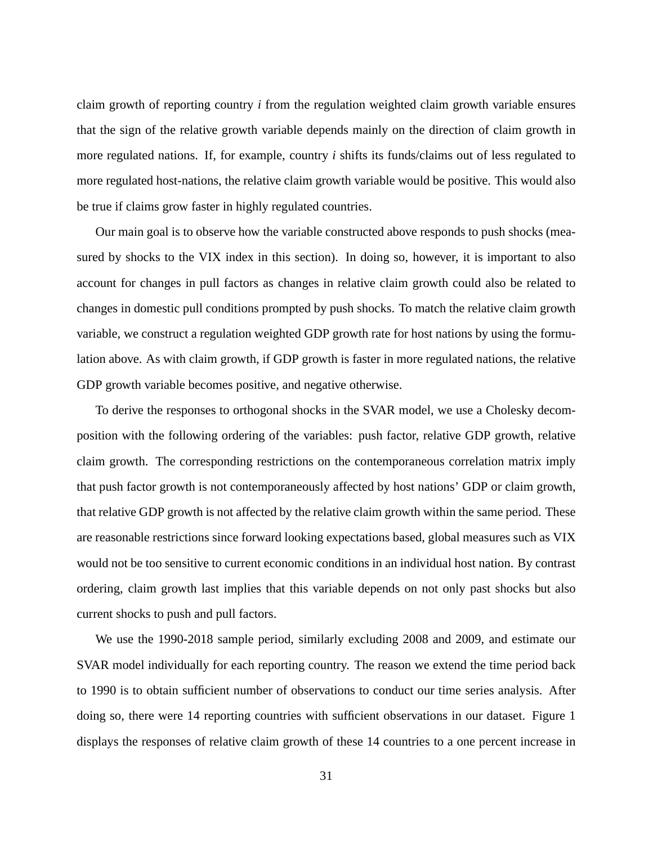claim growth of reporting country *i* from the regulation weighted claim growth variable ensures that the sign of the relative growth variable depends mainly on the direction of claim growth in more regulated nations. If, for example, country *i* shifts its funds/claims out of less regulated to more regulated host-nations, the relative claim growth variable would be positive. This would also be true if claims grow faster in highly regulated countries.

Our main goal is to observe how the variable constructed above responds to push shocks (measured by shocks to the VIX index in this section). In doing so, however, it is important to also account for changes in pull factors as changes in relative claim growth could also be related to changes in domestic pull conditions prompted by push shocks. To match the relative claim growth variable, we construct a regulation weighted GDP growth rate for host nations by using the formulation above. As with claim growth, if GDP growth is faster in more regulated nations, the relative GDP growth variable becomes positive, and negative otherwise.

To derive the responses to orthogonal shocks in the SVAR model, we use a Cholesky decomposition with the following ordering of the variables: push factor, relative GDP growth, relative claim growth. The corresponding restrictions on the contemporaneous correlation matrix imply that push factor growth is not contemporaneously affected by host nations' GDP or claim growth, that relative GDP growth is not affected by the relative claim growth within the same period. These are reasonable restrictions since forward looking expectations based, global measures such as VIX would not be too sensitive to current economic conditions in an individual host nation. By contrast ordering, claim growth last implies that this variable depends on not only past shocks but also current shocks to push and pull factors.

We use the 1990-2018 sample period, similarly excluding 2008 and 2009, and estimate our SVAR model individually for each reporting country. The reason we extend the time period back to 1990 is to obtain sufficient number of observations to conduct our time series analysis. After doing so, there were 14 reporting countries with sufficient observations in our dataset. Figure 1 displays the responses of relative claim growth of these 14 countries to a one percent increase in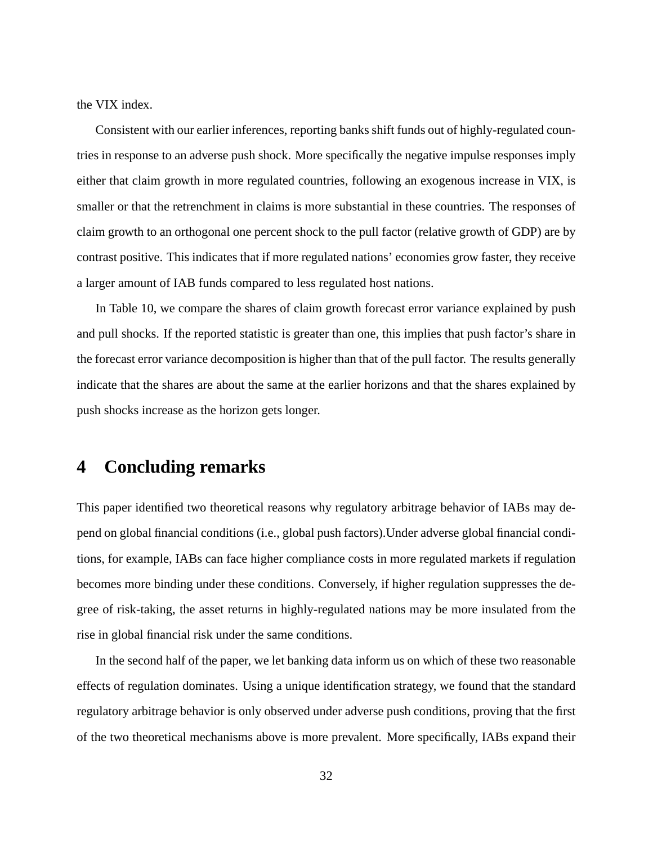the VIX index.

Consistent with our earlier inferences, reporting banks shift funds out of highly-regulated countries in response to an adverse push shock. More specifically the negative impulse responses imply either that claim growth in more regulated countries, following an exogenous increase in VIX, is smaller or that the retrenchment in claims is more substantial in these countries. The responses of claim growth to an orthogonal one percent shock to the pull factor (relative growth of GDP) are by contrast positive. This indicates that if more regulated nations' economies grow faster, they receive a larger amount of IAB funds compared to less regulated host nations.

In Table 10, we compare the shares of claim growth forecast error variance explained by push and pull shocks. If the reported statistic is greater than one, this implies that push factor's share in the forecast error variance decomposition is higher than that of the pull factor. The results generally indicate that the shares are about the same at the earlier horizons and that the shares explained by push shocks increase as the horizon gets longer.

# **4 Concluding remarks**

This paper identified two theoretical reasons why regulatory arbitrage behavior of IABs may depend on global financial conditions (i.e., global push factors).Under adverse global financial conditions, for example, IABs can face higher compliance costs in more regulated markets if regulation becomes more binding under these conditions. Conversely, if higher regulation suppresses the degree of risk-taking, the asset returns in highly-regulated nations may be more insulated from the rise in global financial risk under the same conditions.

In the second half of the paper, we let banking data inform us on which of these two reasonable effects of regulation dominates. Using a unique identification strategy, we found that the standard regulatory arbitrage behavior is only observed under adverse push conditions, proving that the first of the two theoretical mechanisms above is more prevalent. More specifically, IABs expand their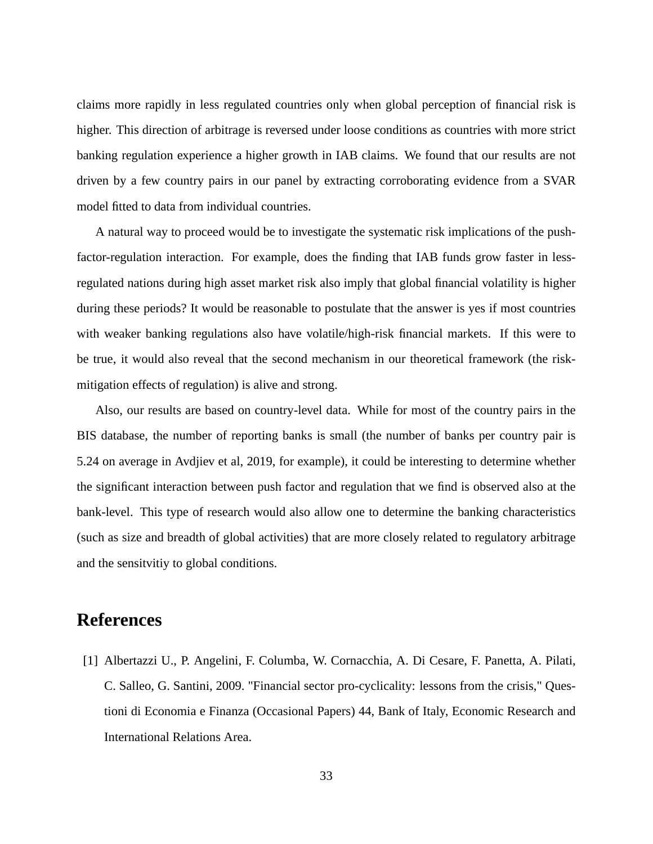claims more rapidly in less regulated countries only when global perception of financial risk is higher. This direction of arbitrage is reversed under loose conditions as countries with more strict banking regulation experience a higher growth in IAB claims. We found that our results are not driven by a few country pairs in our panel by extracting corroborating evidence from a SVAR model fitted to data from individual countries.

A natural way to proceed would be to investigate the systematic risk implications of the pushfactor-regulation interaction. For example, does the finding that IAB funds grow faster in lessregulated nations during high asset market risk also imply that global financial volatility is higher during these periods? It would be reasonable to postulate that the answer is yes if most countries with weaker banking regulations also have volatile/high-risk financial markets. If this were to be true, it would also reveal that the second mechanism in our theoretical framework (the riskmitigation effects of regulation) is alive and strong.

Also, our results are based on country-level data. While for most of the country pairs in the BIS database, the number of reporting banks is small (the number of banks per country pair is 5.24 on average in Avdjiev et al, 2019, for example), it could be interesting to determine whether the significant interaction between push factor and regulation that we find is observed also at the bank-level. This type of research would also allow one to determine the banking characteristics (such as size and breadth of global activities) that are more closely related to regulatory arbitrage and the sensitvitiy to global conditions.

# **References**

[1] Albertazzi U., P. Angelini, F. Columba, W. Cornacchia, A. Di Cesare, F. Panetta, A. Pilati, C. Salleo, G. Santini, 2009. "Financial sector pro-cyclicality: lessons from the crisis," Questioni di Economia e Finanza (Occasional Papers) 44, Bank of Italy, Economic Research and International Relations Area.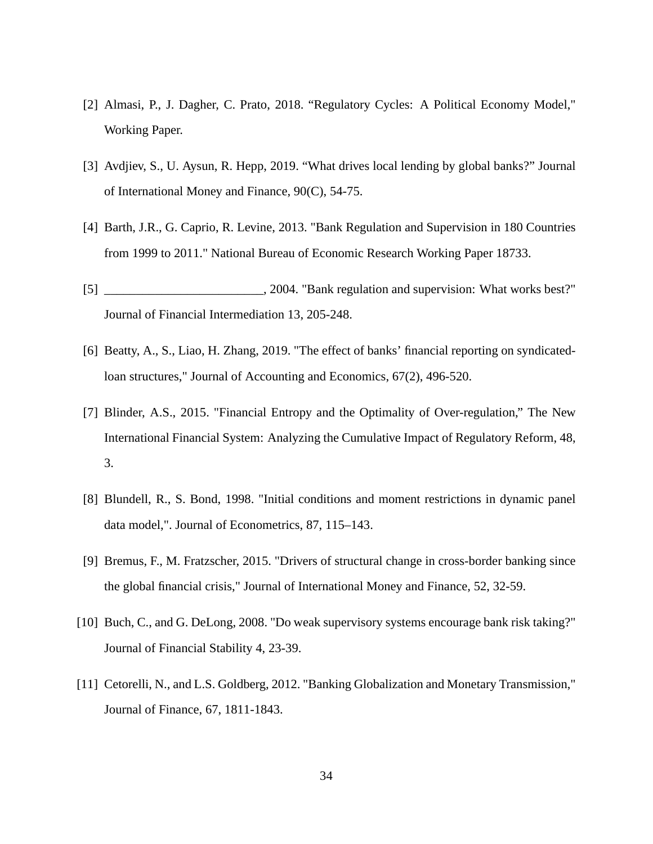- [2] Almasi, P., J. Dagher, C. Prato, 2018. "Regulatory Cycles: A Political Economy Model," Working Paper.
- [3] Avdjiev, S., U. Aysun, R. Hepp, 2019. "What drives local lending by global banks?" Journal of International Money and Finance, 90(C), 54-75.
- [4] Barth, J.R., G. Caprio, R. Levine, 2013. "Bank Regulation and Supervision in 180 Countries from 1999 to 2011." National Bureau of Economic Research Working Paper 18733.
- [5] \_\_\_\_\_\_\_\_\_\_\_\_\_\_\_\_\_\_\_\_\_\_\_\_\_, 2004. "Bank regulation and supervision: What works best?" Journal of Financial Intermediation 13, 205-248.
- [6] Beatty, A., S., Liao, H. Zhang, 2019. "The effect of banks' financial reporting on syndicatedloan structures," Journal of Accounting and Economics, 67(2), 496-520.
- [7] Blinder, A.S., 2015. "Financial Entropy and the Optimality of Over-regulation," The New International Financial System: Analyzing the Cumulative Impact of Regulatory Reform, 48, 3.
- [8] Blundell, R., S. Bond, 1998. "Initial conditions and moment restrictions in dynamic panel data model,". Journal of Econometrics, 87, 115–143.
- [9] Bremus, F., M. Fratzscher, 2015. "Drivers of structural change in cross-border banking since the global financial crisis," Journal of International Money and Finance, 52, 32-59.
- [10] Buch, C., and G. DeLong, 2008. "Do weak supervisory systems encourage bank risk taking?" Journal of Financial Stability 4, 23-39.
- [11] Cetorelli, N., and L.S. Goldberg, 2012. "Banking Globalization and Monetary Transmission," Journal of Finance, 67, 1811-1843.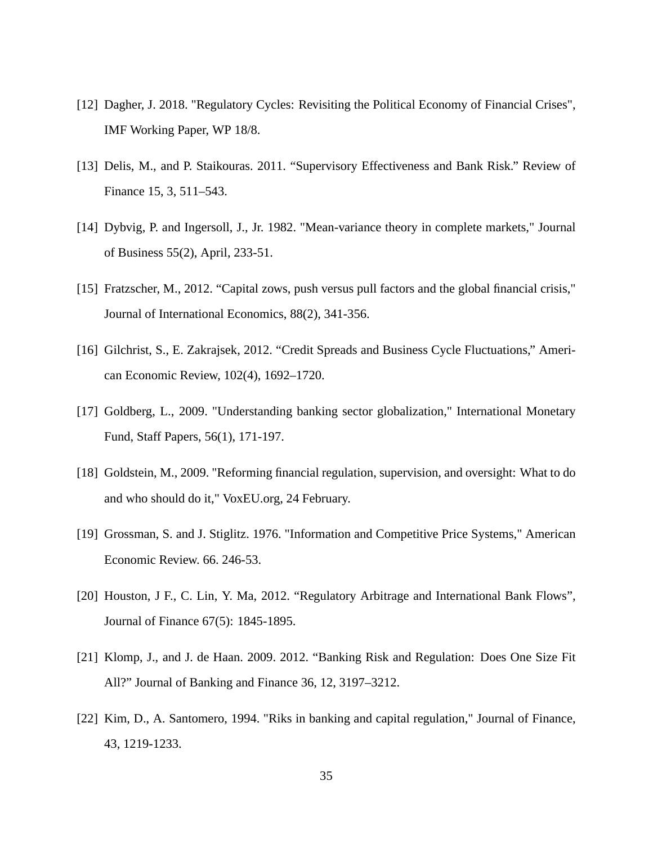- [12] Dagher, J. 2018. "Regulatory Cycles: Revisiting the Political Economy of Financial Crises", IMF Working Paper, WP 18/8.
- [13] Delis, M., and P. Staikouras. 2011. "Supervisory Effectiveness and Bank Risk." Review of Finance 15, 3, 511–543.
- [14] Dybvig, P. and Ingersoll, J., Jr. 1982. "Mean-variance theory in complete markets," Journal of Business 55(2), April, 233-51.
- [15] Fratzscher, M., 2012. "Capital zows, push versus pull factors and the global financial crisis," Journal of International Economics, 88(2), 341-356.
- [16] Gilchrist, S., E. Zakrajsek, 2012. "Credit Spreads and Business Cycle Fluctuations," American Economic Review, 102(4), 1692–1720.
- [17] Goldberg, L., 2009. "Understanding banking sector globalization," International Monetary Fund, Staff Papers, 56(1), 171-197.
- [18] Goldstein, M., 2009. "Reforming financial regulation, supervision, and oversight: What to do and who should do it," VoxEU.org, 24 February.
- [19] Grossman, S. and J. Stiglitz. 1976. "Information and Competitive Price Systems," American Economic Review. 66. 246-53.
- [20] Houston, J F., C. Lin, Y. Ma, 2012. "Regulatory Arbitrage and International Bank Flows", Journal of Finance 67(5): 1845-1895.
- [21] Klomp, J., and J. de Haan. 2009. 2012. "Banking Risk and Regulation: Does One Size Fit All?" Journal of Banking and Finance 36, 12, 3197–3212.
- [22] Kim, D., A. Santomero, 1994. "Riks in banking and capital regulation," Journal of Finance, 43, 1219-1233.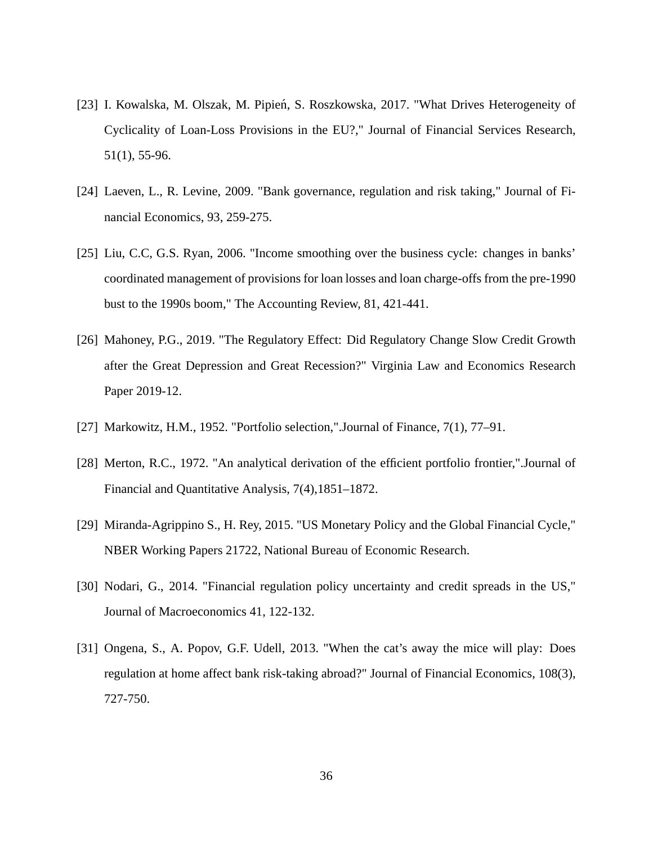- [23] I. Kowalska, M. Olszak, M. Pipień, S. Roszkowska, 2017. "What Drives Heterogeneity of Cyclicality of Loan-Loss Provisions in the EU?," Journal of Financial Services Research, 51(1), 55-96.
- [24] Laeven, L., R. Levine, 2009. "Bank governance, regulation and risk taking," Journal of Financial Economics, 93, 259-275.
- [25] Liu, C.C, G.S. Ryan, 2006. "Income smoothing over the business cycle: changes in banks' coordinated management of provisions for loan losses and loan charge-offs from the pre-1990 bust to the 1990s boom," The Accounting Review, 81, 421-441.
- [26] Mahoney, P.G., 2019. "The Regulatory Effect: Did Regulatory Change Slow Credit Growth after the Great Depression and Great Recession?" Virginia Law and Economics Research Paper 2019-12.
- [27] Markowitz, H.M., 1952. "Portfolio selection,".Journal of Finance, 7(1), 77–91.
- [28] Merton, R.C., 1972. "An analytical derivation of the efficient portfolio frontier,".Journal of Financial and Quantitative Analysis, 7(4),1851–1872.
- [29] Miranda-Agrippino S., H. Rey, 2015. "US Monetary Policy and the Global Financial Cycle," NBER Working Papers 21722, National Bureau of Economic Research.
- [30] Nodari, G., 2014. "Financial regulation policy uncertainty and credit spreads in the US," Journal of Macroeconomics 41, 122-132.
- [31] Ongena, S., A. Popov, G.F. Udell, 2013. "When the cat's away the mice will play: Does regulation at home affect bank risk-taking abroad?" Journal of Financial Economics, 108(3), 727-750.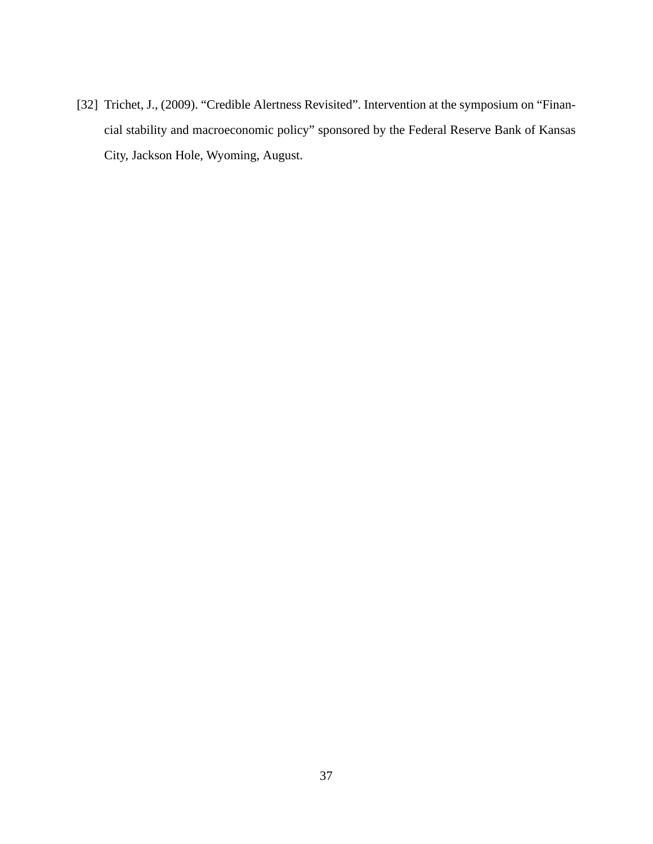[32] Trichet, J., (2009). "Credible Alertness Revisited". Intervention at the symposium on "Financial stability and macroeconomic policy" sponsored by the Federal Reserve Bank of Kansas City, Jackson Hole, Wyoming, August.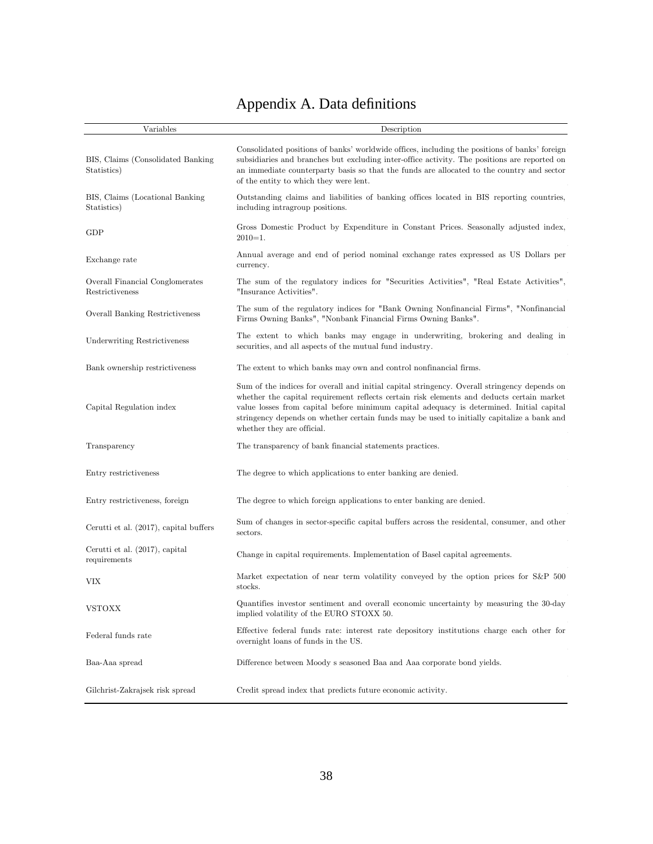# Appendix A. Data definitions

| Variables                                          | Description                                                                                                                                                                                                                                                                                                                                                                                                       |
|----------------------------------------------------|-------------------------------------------------------------------------------------------------------------------------------------------------------------------------------------------------------------------------------------------------------------------------------------------------------------------------------------------------------------------------------------------------------------------|
| BIS, Claims (Consolidated Banking)<br>Statistics)  | Consolidated positions of banks' worldwide offices, including the positions of banks' foreign<br>subsidiaries and branches but excluding inter-office activity. The positions are reported on<br>an immediate counterparty basis so that the funds are allocated to the country and sector<br>of the entity to which they were lent.                                                                              |
| BIS, Claims (Locational Banking)<br>Statistics)    | Outstanding claims and liabilities of banking offices located in BIS reporting countries,<br>including intragroup positions.                                                                                                                                                                                                                                                                                      |
| <b>GDP</b>                                         | Gross Domestic Product by Expenditure in Constant Prices. Seasonally adjusted index,<br>$2010=1.$                                                                                                                                                                                                                                                                                                                 |
| Exchange rate                                      | Annual average and end of period nominal exchange rates expressed as US Dollars per<br>currency.                                                                                                                                                                                                                                                                                                                  |
| Overall Financial Conglomerates<br>Restrictiveness | The sum of the regulatory indices for "Securities Activities", "Real Estate Activities",<br>"Insurance Activities".                                                                                                                                                                                                                                                                                               |
| Overall Banking Restrictiveness                    | The sum of the regulatory indices for "Bank Owning Nonfinancial Firms", "Nonfinancial"<br>Firms Owning Banks", "Nonbank Financial Firms Owning Banks".                                                                                                                                                                                                                                                            |
| <b>Underwriting Restrictiveness</b>                | The extent to which banks may engage in underwriting, brokering and dealing in<br>securities, and all aspects of the mutual fund industry.                                                                                                                                                                                                                                                                        |
| Bank ownership restrictiveness                     | The extent to which banks may own and control nonfinancial firms.                                                                                                                                                                                                                                                                                                                                                 |
| Capital Regulation index                           | Sum of the indices for overall and initial capital stringency. Overall stringency depends on<br>whether the capital requirement reflects certain risk elements and deducts certain market<br>value losses from capital before minimum capital adequacy is determined. Initial capital<br>stringency depends on whether certain funds may be used to initially capitalize a bank and<br>whether they are official. |
| Transparency                                       | The transparency of bank financial statements practices.                                                                                                                                                                                                                                                                                                                                                          |
| Entry restrictiveness                              | The degree to which applications to enter banking are denied.                                                                                                                                                                                                                                                                                                                                                     |
| Entry restrictiveness, foreign                     | The degree to which foreign applications to enter banking are denied.                                                                                                                                                                                                                                                                                                                                             |
| Cerutti et al. (2017), capital buffers             | Sum of changes in sector-specific capital buffers across the residental, consumer, and other<br>sectors.                                                                                                                                                                                                                                                                                                          |
| Cerutti et al. (2017), capital<br>requirements     | Change in capital requirements. Implementation of Basel capital agreements.                                                                                                                                                                                                                                                                                                                                       |
| VIX                                                | Market expectation of near term volatility conveyed by the option prices for S&P 500<br>stocks.                                                                                                                                                                                                                                                                                                                   |
| <b>VSTOXX</b>                                      | Quantifies investor sentiment and overall economic uncertainty by measuring the 30-day<br>implied volatility of the EURO STOXX 50.                                                                                                                                                                                                                                                                                |
| Federal funds rate                                 | Effective federal funds rate: interest rate depository institutions charge each other for<br>overnight loans of funds in the US.                                                                                                                                                                                                                                                                                  |
| Baa-Aaa spread                                     | Difference between Moody s seasoned Baa and Aaa corporate bond yields.                                                                                                                                                                                                                                                                                                                                            |
| Gilchrist-Zakrajsek risk spread                    | Credit spread index that predicts future economic activity.                                                                                                                                                                                                                                                                                                                                                       |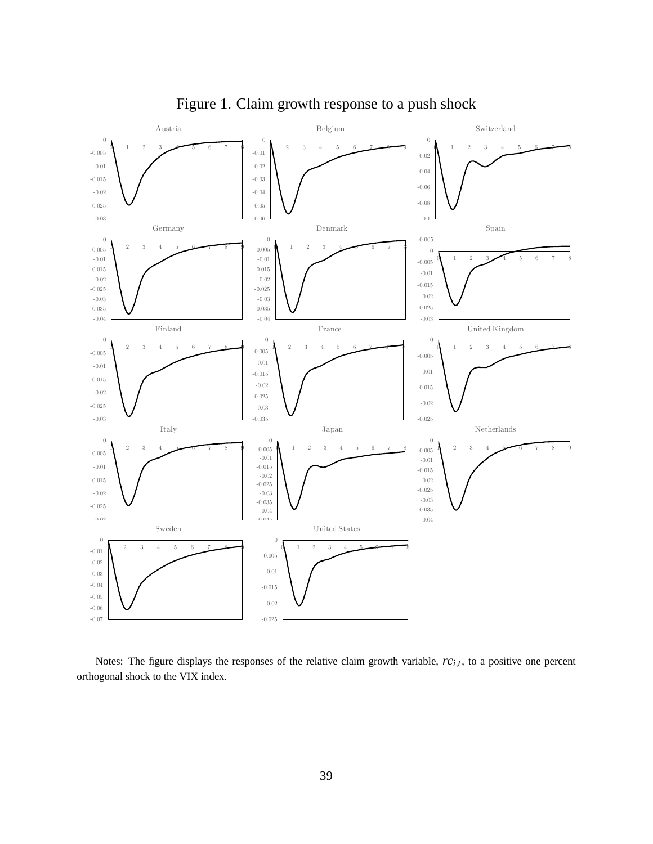

Figure 1. Claim growth response to a push shock

Notes: The figure displays the responses of the relative claim growth variable,  $rc_{i,t}$ , to a positive one percent orthogonal shock to the VIX index.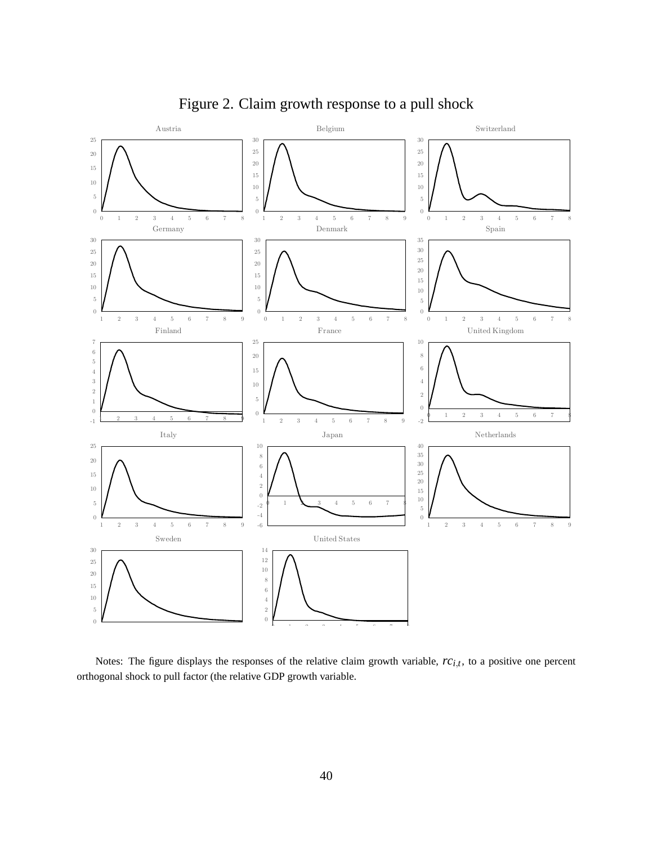

Figure 2. Claim growth response to a pull shock

Notes: The figure displays the responses of the relative claim growth variable,  $rc_{i,t}$ , to a positive one percent orthogonal shock to pull factor (the relative GDP growth variable.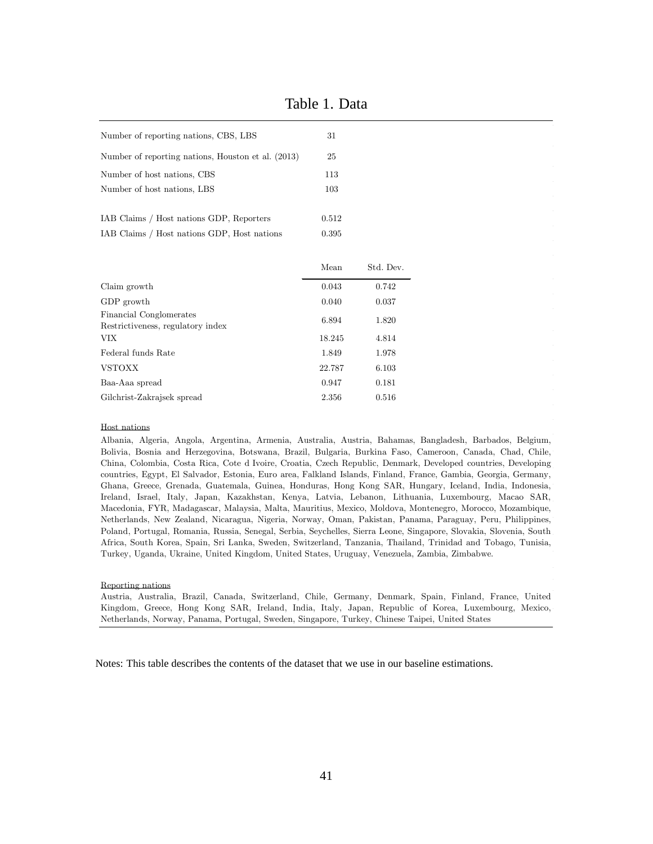| Number of reporting nations, CBS, LBS                        | 31     |           |
|--------------------------------------------------------------|--------|-----------|
| Number of reporting nations, Houston et al. (2013)           | 25     |           |
| Number of host nations, CBS                                  | 113    |           |
| Number of host nations, LBS                                  | 103    |           |
| IAB Claims / Host nations GDP, Reporters                     | 0.512  |           |
| IAB Claims / Host nations GDP, Host nations                  | 0.395  |           |
|                                                              |        |           |
|                                                              | Mean   | Std. Dev. |
| Claim growth                                                 | 0.043  | 0.742     |
| GDP growth                                                   | 0.040  | 0.037     |
| Financial Conglomerates<br>Restrictiveness, regulatory index | 6.894  | 1.820     |
| VIX.                                                         | 18.245 | 4.814     |
| Federal funds Rate                                           | 1.849  | 1.978     |
| <b>VSTOXX</b>                                                | 22.787 | 6.103     |
| Baa-Aaa spread                                               | 0.947  | 0.181     |
| Gilchrist-Zakrajsek spread                                   | 2.356  | 0.516     |

Table 1. Data

#### Host nations

Albania, Algeria, Angola, Argentina, Armenia, Australia, Austria, Bahamas, Bangladesh, Barbados, Belgium, Bolivia, Bosnia and Herzegovina, Botswana, Brazil, Bulgaria, Burkina Faso, Cameroon, Canada, Chad, Chile, China, Colombia, Costa Rica, Cote d'Ivoire, Croatia, Czech Republic, Denmark, Developed countries, Developing countries, Egypt, El Salvador, Estonia, Euro area, Falkland Islands, Finland, France, Gambia, Georgia, Germany, Ghana, Greece, Grenada, Guatemala, Guinea, Honduras, Hong Kong SAR, Hungary, Iceland, India, Indonesia, Ireland, Israel, Italy, Japan, Kazakhstan, Kenya, Latvia, Lebanon, Lithuania, Luxembourg, Macao SAR, Macedonia, FYR, Madagascar, Malaysia, Malta, Mauritius, Mexico, Moldova, Montenegro, Morocco, Mozambique, Netherlands, New Zealand, Nicaragua, Nigeria, Norway, Oman, Pakistan, Panama, Paraguay, Peru, Philippines, Poland, Portugal, Romania, Russia, Senegal, Serbia, Seychelles, Sierra Leone, Singapore, Slovakia, Slovenia, South Africa, South Korea, Spain, Sri Lanka, Sweden, Switzerland, Tanzania, Thailand, Trinidad and Tobago, Tunisia, Turkey, Uganda, Ukraine, United Kingdom, United States, Uruguay, Venezuela, Zambia, Zimbabwe.

#### Reporting nations

Austria, Australia, Brazil, Canada, Switzerland, Chile, Germany, Denmark, Spain, Finland, France, United Kingdom, Greece, Hong Kong SAR, Ireland, India, Italy, Japan, Republic of Korea, Luxembourg, Mexico, Netherlands, Norway, Panama, Portugal, Sweden, Singapore, Turkey, Chinese Taipei, United States

Notes: This table describes the contents of the dataset that we use in our baseline estimations.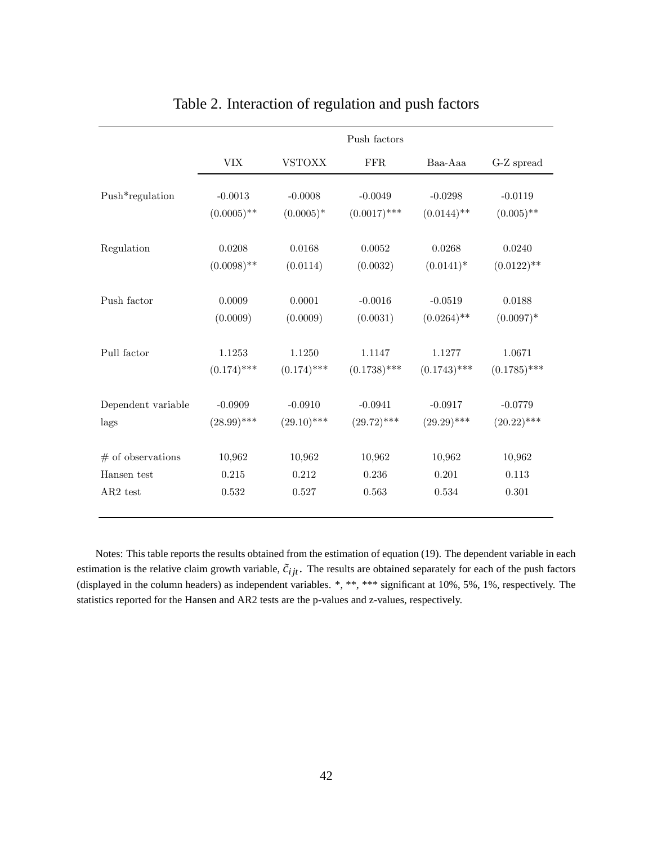|                     | Push factors  |               |                |                |                             |  |
|---------------------|---------------|---------------|----------------|----------------|-----------------------------|--|
|                     | <b>VIX</b>    | <b>VSTOXX</b> | <b>FFR</b>     | Baa-Aaa        | $\operatorname{G-Z}$ spread |  |
| Push*regulation     | $-0.0013$     | $-0.0008$     | $-0.0049$      | $-0.0298$      | $-0.0119$                   |  |
|                     | $(0.0005)$ ** | $(0.0005)*$   | $(0.0017)$ *** | $(0.0144)$ **  | $(0.005)$ **                |  |
| Regulation          | 0.0208        | 0.0168        | 0.0052         | 0.0268         | 0.0240                      |  |
|                     | $(0.0098)$ ** | (0.0114)      | (0.0032)       | $(0.0141)^*$   | $(0.0122)$ **               |  |
| Push factor         | 0.0009        | 0.0001        | $-0.0016$      | $-0.0519$      | $0.0188\,$                  |  |
|                     | (0.0009)      | (0.0009)      | (0.0031)       | $(0.0264)$ **  | $(0.0097)^*$                |  |
| Pull factor         | 1.1253        | 1.1250        | 1.1147         | 1.1277         | 1.0671                      |  |
|                     | $(0.174)$ *** | $(0.174)$ *** | $(0.1738)$ *** | $(0.1743)$ *** | $(0.1785)$ ***              |  |
| Dependent variable  | $-0.0909$     | $-0.0910$     | $-0.0941$      | $-0.0917$      | $-0.0779$                   |  |
| lags                | $(28.99)$ *** | $(29.10)$ *** | $(29.72)$ ***  | $(29.29)$ ***  | $(20.22)$ ***               |  |
| $#$ of observations | 10,962        | 10,962        | 10,962         | 10,962         | 10,962                      |  |
| Hansen test         | 0.215         | 0.212         | 0.236          | 0.201          | 0.113                       |  |
| $AR2$ test          | 0.532         | 0.527         | 0.563          | 0.534          | 0.301                       |  |

# Table 2. Interaction of regulation and push factors

Notes: This table reports the results obtained from the estimation of equation (19). The dependent variable in each estimation is the relative claim growth variable,  $\tilde{c}_{ijt}$ . The results are obtained separately for each of the push factors (displayed in the column headers) as independent variables. \*, \*\*, \*\*\* significant at 10%, 5%, 1%, respectively. The statistics reported for the Hansen and AR2 tests are the p-values and z-values, respectively.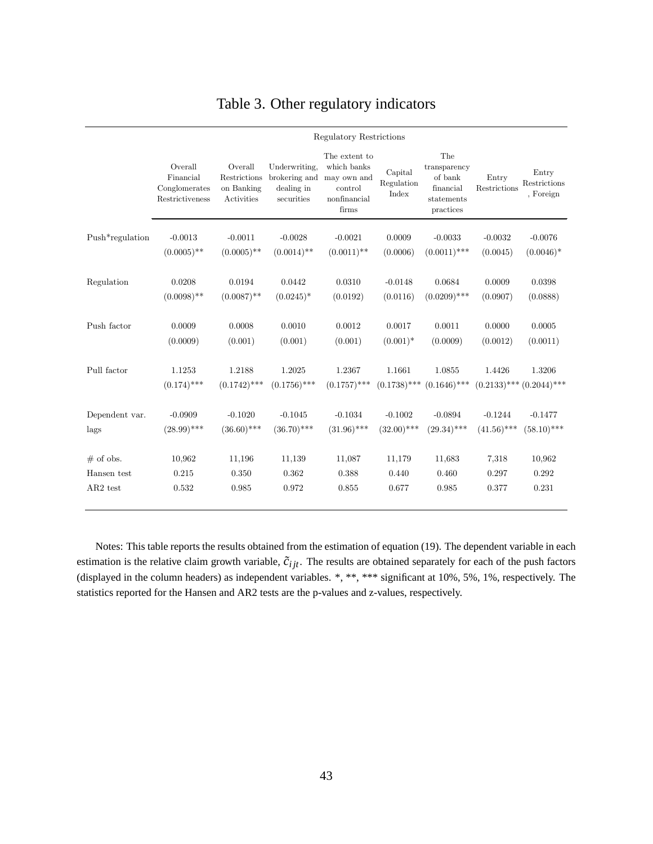|                 | Regulatory Restrictions                                  |                                                     |                                                            |                                                                                 |                                |                                                                        |                       |                                    |
|-----------------|----------------------------------------------------------|-----------------------------------------------------|------------------------------------------------------------|---------------------------------------------------------------------------------|--------------------------------|------------------------------------------------------------------------|-----------------------|------------------------------------|
|                 | Overall<br>Financial<br>Conglomerates<br>Restrictiveness | Overall<br>Restrictions<br>on Banking<br>Activities | Underwriting,<br>brokering and<br>dealing in<br>securities | The extent to<br>which banks<br>may own and<br>control<br>nonfinancial<br>firms | Capital<br>Regulation<br>Index | The<br>transparency<br>of bank<br>financial<br>statements<br>practices | Entry<br>Restrictions | Entry<br>Restrictions<br>, Foreign |
| Push*regulation | $-0.0013$                                                | $-0.0011$                                           | $-0.0028$                                                  | $-0.0021$                                                                       | 0.0009                         | $-0.0033$                                                              | $-0.0032$             | $-0.0076$                          |
|                 | $(0.0005)$ **                                            | $(0.0005)$ **                                       | $(0.0014)$ **                                              | $(0.0011)$ **                                                                   | (0.0006)                       | $(0.0011)$ ***                                                         | (0.0045)              | $(0.0046)*$                        |
| Regulation      | 0.0208                                                   | 0.0194                                              | 0.0442                                                     | 0.0310                                                                          | $-0.0148$                      | 0.0684                                                                 | 0.0009                | 0.0398                             |
|                 | $(0.0098)$ **                                            | $(0.0087)$ **                                       | $(0.0245)^*$                                               | (0.0192)                                                                        | (0.0116)                       | $(0.0209)$ ***                                                         | (0.0907)              | (0.0888)                           |
| Push factor     | 0.0009                                                   | 0.0008                                              | 0.0010                                                     | 0.0012                                                                          | 0.0017                         | 0.0011                                                                 | 0.0000                | 0.0005                             |
|                 | (0.0009)                                                 | (0.001)                                             | (0.001)                                                    | (0.001)                                                                         | $(0.001)^*$                    | (0.0009)                                                               | (0.0012)              | (0.0011)                           |
| Pull factor     | 1.1253                                                   | 1.2188                                              | 1.2025                                                     | 1.2367                                                                          | 1.1661                         | 1.0855                                                                 | 1.4426                | 1.3206                             |
|                 | $(0.174)$ ***                                            | $(0.1742)$ ***                                      | $(0.1756)$ ***                                             | $(0.1757)$ ***                                                                  | $(0.1738)$ ***                 | $(0.1646)$ ***                                                         |                       | $(0.2133)$ *** $(0.2044)$ ***      |
| Dependent var.  | $-0.0909$                                                | $-0.1020$                                           | $-0.1045$                                                  | $-0.1034$                                                                       | $-0.1002$                      | $-0.0894$                                                              | $-0.1244$             | $-0.1477$                          |
| lags            | $(28.99)$ ***                                            | $(36.60)$ ***                                       | $(36.70)$ ***                                              | $(31.96)$ ***                                                                   | $(32.00)$ ***                  | $(29.34)$ ***                                                          | $(41.56)$ ***         | $(58.10)$ ***                      |
| $#$ of obs.     | 10,962                                                   | 11,196                                              | 11,139                                                     | 11,087                                                                          | 11,179                         | 11,683                                                                 | 7,318                 | 10,962                             |
| Hansen test     | 0.215                                                    | 0.350                                               | 0.362                                                      | 0.388                                                                           | 0.440                          | 0.460                                                                  | 0.297                 | 0.292                              |
| AR2 test        | $\,0.532\,$                                              | 0.985                                               | 0.972                                                      | 0.855                                                                           | 0.677                          | 0.985                                                                  | 0.377                 | 0.231                              |

# Table 3. Other regulatory indicators

Notes: This table reports the results obtained from the estimation of equation (19). The dependent variable in each estimation is the relative claim growth variable,  $\tilde{c}_{ijt}$ . The results are obtained separately for each of the push factors (displayed in the column headers) as independent variables. \*, \*\*, \*\*\* significant at 10%, 5%, 1%, respectively. The statistics reported for the Hansen and AR2 tests are the p-values and z-values, respectively.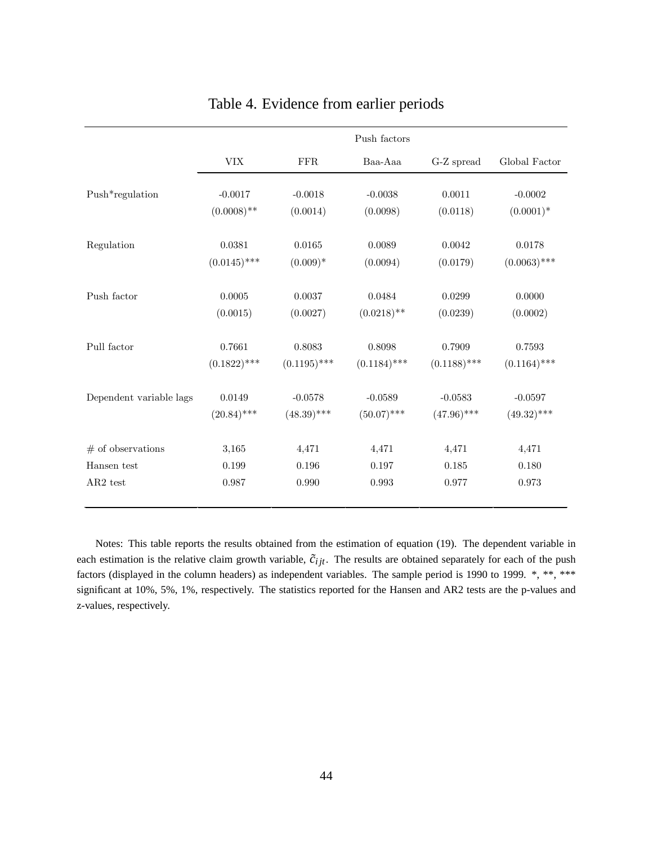|                         |                                  |                | Push factors   |                |                |
|-------------------------|----------------------------------|----------------|----------------|----------------|----------------|
|                         | $\ensuremath{\text{VIX}}\xspace$ | ${\rm FFR}$    | Baa-Aaa        | G-Z spread     | Global Factor  |
| Push*regulation         | $-0.0017$                        | $-0.0018$      | $-0.0038$      | 0.0011         | $-0.0002$      |
|                         | $(0.0008)$ **                    | (0.0014)       | (0.0098)       | (0.0118)       | $(0.0001)^*$   |
| Regulation              | 0.0381                           | 0.0165         | 0.0089         | 0.0042         | 0.0178         |
|                         | $(0.0145)$ ***                   | $(0.009)*$     | (0.0094)       | (0.0179)       | $(0.0063)$ *** |
| Push factor             | 0.0005                           | 0.0037         | 0.0484         | 0.0299         | 0.0000         |
|                         | (0.0015)                         | (0.0027)       | $(0.0218)$ **  | (0.0239)       | (0.0002)       |
| Pull factor             | 0.7661                           | 0.8083         | 0.8098         | 0.7909         | 0.7593         |
|                         | $(0.1822)$ ***                   | $(0.1195)$ *** | $(0.1184)$ *** | $(0.1188)$ *** | $(0.1164)$ *** |
| Dependent variable lags | 0.0149                           | $-0.0578$      | $-0.0589$      | $-0.0583$      | $-0.0597$      |
|                         | $(20.84)$ ***                    | $(48.39)$ ***  | $(50.07)$ ***  | $(47.96)$ ***  | $(49.32)$ ***  |
| $#$ of observations     | 3,165                            | 4,471          | 4,471          | 4,471          | 4,471          |
| Hansen test             | 0.199                            | 0.196          | 0.197          | 0.185          | 0.180          |
| AR2 test                | 0.987                            | 0.990          | 0.993          | 0.977          | 0.973          |

# Table 4. Evidence from earlier periods

Notes: This table reports the results obtained from the estimation of equation (19). The dependent variable in each estimation is the relative claim growth variable,  $\tilde{c}_{ijt}$ . The results are obtained separately for each of the push factors (displayed in the column headers) as independent variables. The sample period is 1990 to 1999. \*, \*\*, \*\*\* significant at 10%, 5%, 1%, respectively. The statistics reported for the Hansen and AR2 tests are the p-values and z-values, respectively.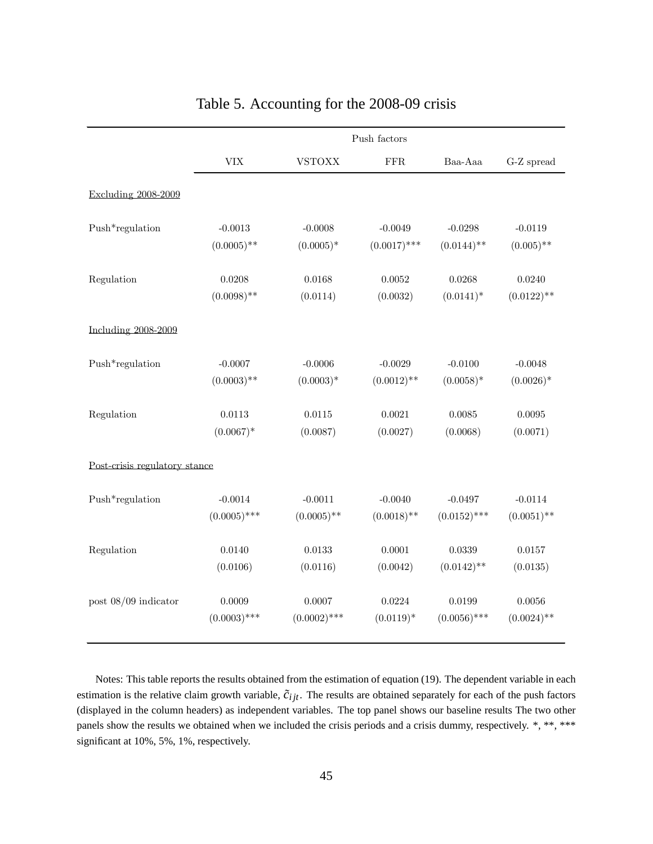|                        | Push factors                  |                |                |                |               |  |  |  |
|------------------------|-------------------------------|----------------|----------------|----------------|---------------|--|--|--|
|                        | $\ensuremath{\text{VIX}}$     | <b>VSTOXX</b>  | ${\rm FFR}$    | Baa-Aaa        | $G-Z$ spread  |  |  |  |
| Excluding 2008-2009    |                               |                |                |                |               |  |  |  |
| Push*regulation        | $-0.0013$                     | $-0.0008$      | $-0.0049$      | $-0.0298$      | $-0.0119$     |  |  |  |
|                        | $(0.0005)$ **                 | $(0.0005)^*$   | $(0.0017)$ *** | $(0.0144)$ **  | $(0.005)$ **  |  |  |  |
| Regulation             | 0.0208                        | 0.0168         | 0.0052         | 0.0268         | 0.0240        |  |  |  |
|                        | $(0.0098)$ **                 | (0.0114)       | (0.0032)       | $(0.0141)^*$   | $(0.0122)$ ** |  |  |  |
| Including 2008-2009    |                               |                |                |                |               |  |  |  |
| Push*regulation        | $-0.0007$                     | $-0.0006$      | $-0.0029$      | $-0.0100$      | $-0.0048$     |  |  |  |
|                        | $(0.0003)$ **                 | $(0.0003)*$    | $(0.0012)$ **  | $(0.0058)*$    | $(0.0026)^*$  |  |  |  |
| Regulation             | 0.0113                        | 0.0115         | 0.0021         | 0.0085         | 0.0095        |  |  |  |
|                        | $(0.0067)*$                   | (0.0087)       | (0.0027)       | (0.0068)       | (0.0071)      |  |  |  |
|                        | Post-crisis regulatory stance |                |                |                |               |  |  |  |
| Push*regulation        | $-0.0014$                     | $-0.0011$      | $-0.0040$      | $-0.0497$      | $-0.0114$     |  |  |  |
|                        | $(0.0005)$ ***                | $(0.0005)$ **  | $(0.0018)$ **  | $(0.0152)$ *** | $(0.0051)$ ** |  |  |  |
| Regulation             | 0.0140                        | 0.0133         | 0.0001         | 0.0339         | 0.0157        |  |  |  |
|                        | (0.0106)                      | (0.0116)       | (0.0042)       | $(0.0142)$ **  | (0.0135)      |  |  |  |
| post $08/09$ indicator | 0.0009                        | 0.0007         | 0.0224         | 0.0199         | 0.0056        |  |  |  |
|                        | $(0.0003)$ ***                | $(0.0002)$ *** | $(0.0119)*$    | $(0.0056)$ *** | $(0.0024)$ ** |  |  |  |

# Table 5. Accounting for the 2008-09 crisis

Notes: This table reports the results obtained from the estimation of equation (19). The dependent variable in each estimation is the relative claim growth variable,  $\tilde{c}_{ijt}$ . The results are obtained separately for each of the push factors (displayed in the column headers) as independent variables. The top panel shows our baseline results The two other panels show the results we obtained when we included the crisis periods and a crisis dummy, respectively. \*, \*\*, \*\*\* significant at 10%, 5%, 1%, respectively.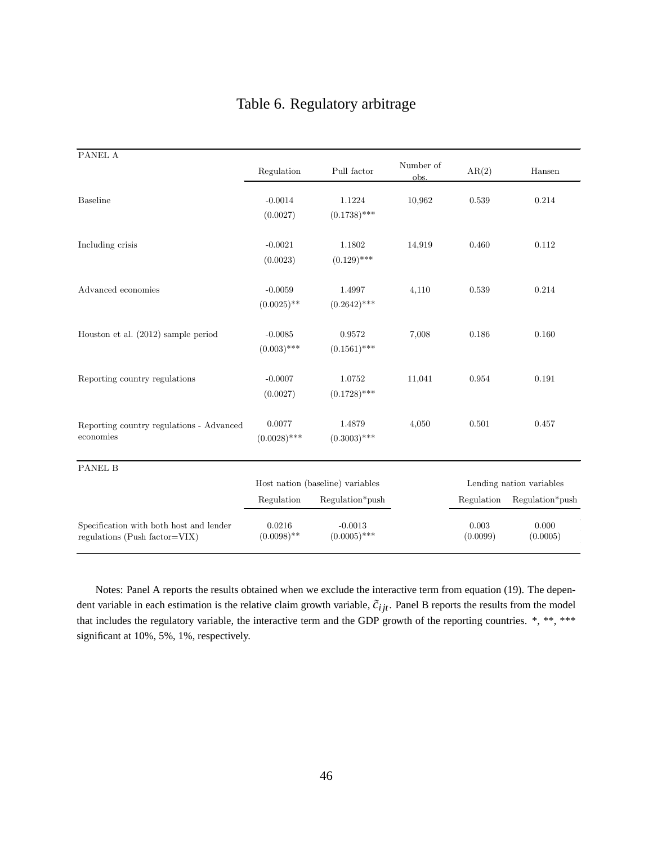|  |  | Table 6. Regulatory arbitrage |  |
|--|--|-------------------------------|--|
|--|--|-------------------------------|--|

| PANEL A                                                                  |                                  |                             |                   |                   |                          |
|--------------------------------------------------------------------------|----------------------------------|-----------------------------|-------------------|-------------------|--------------------------|
|                                                                          | Regulation                       | Pull factor                 | Number of<br>obs. | AR(2)             | Hansen                   |
| <b>Baseline</b>                                                          | $-0.0014$<br>(0.0027)            | 1.1224<br>$(0.1738)$ ***    | 10,962            | 0.539             | 0.214                    |
| Including crisis                                                         | $-0.0021$<br>(0.0023)            | 1.1802<br>$(0.129)$ ***     | 14,919            | 0.460             | 0.112                    |
| Advanced economies                                                       | $-0.0059$<br>$(0.0025)$ **       | 1.4997<br>$(0.2642)$ ***    | 4,110             | 0.539             | 0.214                    |
| Houston et al. $(2012)$ sample period                                    | $-0.0085$<br>$(0.003)$ ***       | 0.9572<br>$(0.1561)$ ***    | 7,008             | 0.186             | 0.160                    |
| Reporting country regulations                                            | $-0.0007$<br>(0.0027)            | 1.0752<br>$(0.1728)$ ***    | 11,041            | 0.954             | 0.191                    |
| Reporting country regulations - Advanced<br>economies                    | 0.0077<br>$(0.0028)$ ***         | 1.4879<br>$(0.3003)$ ***    | 4,050             | 0.501             | 0.457                    |
| <b>PANEL B</b>                                                           |                                  |                             |                   |                   |                          |
|                                                                          | Host nation (baseline) variables |                             |                   |                   | Lending nation variables |
|                                                                          | Regulation                       | Regulation*push             |                   | Regulation        | Regulation*push          |
| Specification with both host and lender<br>regulations (Push factor=VIX) | 0.0216<br>$(0.0098)$ **          | $-0.0013$<br>$(0.0005)$ *** |                   | 0.003<br>(0.0099) | 0.000<br>(0.0005)        |

Notes: Panel A reports the results obtained when we exclude the interactive term from equation (19). The dependent variable in each estimation is the relative claim growth variable,  $\tilde{c}_{ijt}$ . Panel B reports the results from the model that includes the regulatory variable, the interactive term and the GDP growth of the reporting countries. \*, \*\*, \*\*\* significant at 10%, 5%, 1%, respectively.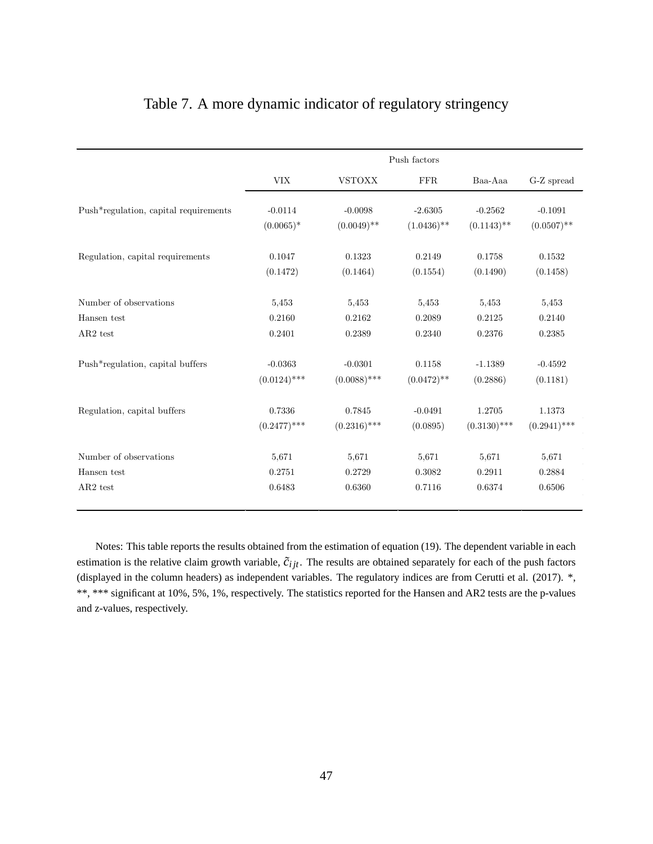|  |  | Table 7. A more dynamic indicator of regulatory stringency |  |
|--|--|------------------------------------------------------------|--|
|  |  |                                                            |  |
|  |  |                                                            |  |

|                                       | Push factors   |                |               |                |                |  |
|---------------------------------------|----------------|----------------|---------------|----------------|----------------|--|
|                                       | ${\rm VIX}$    | <b>VSTOXX</b>  | <b>FFR</b>    | Baa-Aaa        | G-Z spread     |  |
| Push*regulation, capital requirements | $-0.0114$      | $-0.0098$      | $-2.6305$     | $-0.2562$      | $-0.1091$      |  |
|                                       | $(0.0065)*$    | $(0.0049)$ **  | $(1.0436)$ ** | $(0.1143)$ **  | $(0.0507)$ **  |  |
| Regulation, capital requirements      | 0.1047         | 0.1323         | 0.2149        | 0.1758         | 0.1532         |  |
|                                       | (0.1472)       | (0.1464)       | (0.1554)      | (0.1490)       | (0.1458)       |  |
| Number of observations                | 5,453          | 5,453          | 5,453         | 5,453          | 5,453          |  |
| Hansen test                           | 0.2160         | 0.2162         | 0.2089        | 0.2125         | 0.2140         |  |
| AR2 test                              | 0.2401         | 0.2389         | 0.2340        | 0.2376         | 0.2385         |  |
| Push*regulation, capital buffers      | $-0.0363$      | $-0.0301$      | 0.1158        | $-1.1389$      | $-0.4592$      |  |
|                                       | $(0.0124)$ *** | $(0.0088)$ *** | $(0.0472)$ ** | (0.2886)       | (0.1181)       |  |
| Regulation, capital buffers           | 0.7336         | 0.7845         | $-0.0491$     | 1.2705         | 1.1373         |  |
|                                       | $(0.2477)$ *** | $(0.2316)$ *** | (0.0895)      | $(0.3130)$ *** | $(0.2941)$ *** |  |
| Number of observations                | 5,671          | 5,671          | 5,671         | 5,671          | 5,671          |  |
| Hansen test                           | 0.2751         | 0.2729         | 0.3082        | 0.2911         | 0.2884         |  |
| AR2 test                              | 0.6483         | 0.6360         | 0.7116        | 0.6374         | 0.6506         |  |

Notes: This table reports the results obtained from the estimation of equation (19). The dependent variable in each estimation is the relative claim growth variable,  $\tilde{c}_{ijt}$ . The results are obtained separately for each of the push factors (displayed in the column headers) as independent variables. The regulatory indices are from Cerutti et al. (2017). \*, \*\*, \*\*\* significant at 10%, 5%, 1%, respectively. The statistics reported for the Hansen and AR2 tests are the p-values and z-values, respectively.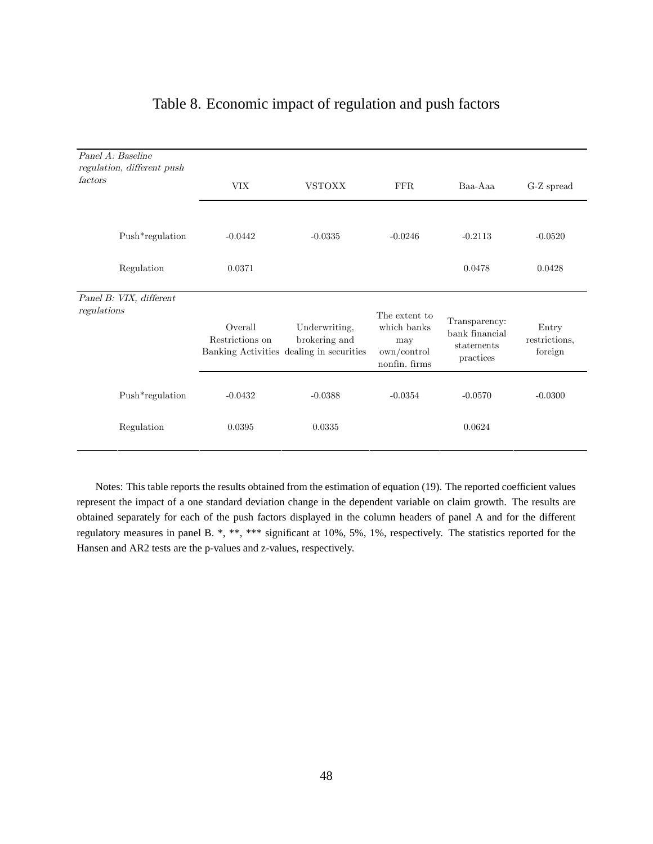| Panel A: Baseline<br>regulation, different push<br>factors | <b>VIX</b>                 | <b>VSTOXX</b>                                                              | <b>FFR</b>                                                          | Baa-Aaa                                                    | G-Z spread                        |
|------------------------------------------------------------|----------------------------|----------------------------------------------------------------------------|---------------------------------------------------------------------|------------------------------------------------------------|-----------------------------------|
| Push*regulation                                            | $-0.0442$                  | $-0.0335$                                                                  | $-0.0246$                                                           | $-0.2113$                                                  | $-0.0520$                         |
| Regulation                                                 | 0.0371                     |                                                                            |                                                                     | 0.0478                                                     | 0.0428                            |
| Panel B: VIX, different<br>regulations                     | Overall<br>Restrictions on | Underwriting,<br>brokering and<br>Banking Activities dealing in securities | The extent to<br>which banks<br>may<br>own/control<br>nonfin. firms | Transparency:<br>bank financial<br>statements<br>practices | Entry<br>restrictions,<br>foreign |
| Push*regulation                                            | $-0.0432$                  | $-0.0388$                                                                  | $-0.0354$                                                           | $-0.0570$                                                  | $-0.0300$                         |
| Regulation                                                 | 0.0395                     | 0.0335                                                                     |                                                                     | 0.0624                                                     |                                   |

# Table 8. Economic impact of regulation and push factors

Notes: This table reports the results obtained from the estimation of equation (19). The reported coefficient values represent the impact of a one standard deviation change in the dependent variable on claim growth. The results are obtained separately for each of the push factors displayed in the column headers of panel A and for the different regulatory measures in panel B. \*, \*\*, \*\*\* significant at 10%, 5%, 1%, respectively. The statistics reported for the Hansen and AR2 tests are the p-values and z-values, respectively.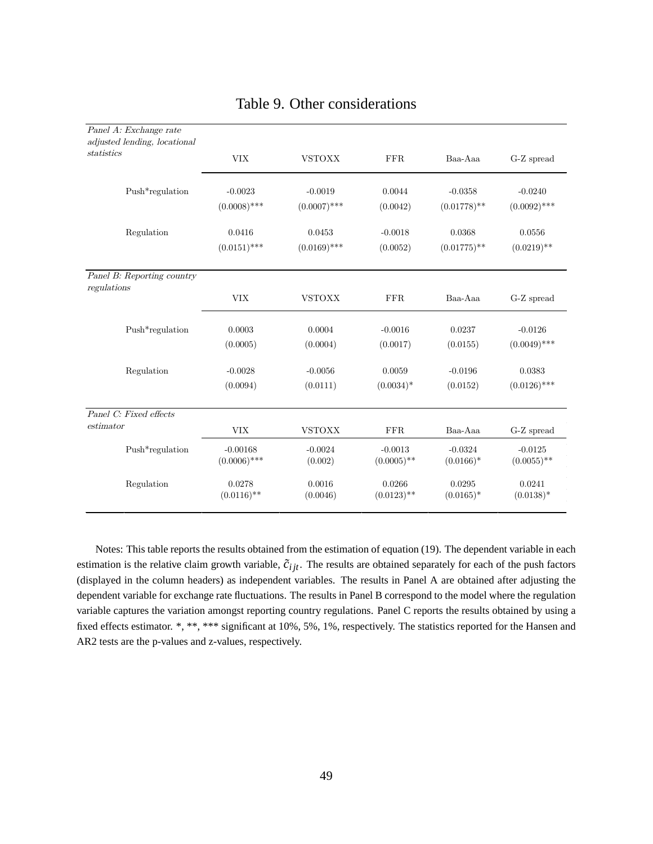| Panel A: Exchange rate       |                              |                      |                            |                          |                            |
|------------------------------|------------------------------|----------------------|----------------------------|--------------------------|----------------------------|
| adjusted lending, locational |                              |                      |                            |                          |                            |
| statistics                   | <b>VIX</b>                   | <b>VSTOXX</b>        | <b>FFR</b>                 | Baa-Aaa                  | G-Z spread                 |
| Push*regulation              | $-0.0023$                    | $-0.0019$            | 0.0044                     | $-0.0358$                | $-0.0240$                  |
|                              | $(0.0008)$ ***               | $(0.0007)$ ***       | (0.0042)                   | $(0.01778)$ **           | $(0.0092)$ ***             |
| Regulation                   | 0.0416                       | 0.0453               | $-0.0018$                  | 0.0368                   | 0.0556                     |
|                              | $(0.0151)$ ***               | $(0.0169)$ ***       | (0.0052)                   | $(0.01775)$ **           | $(0.0219)$ **              |
| Panel B: Reporting country   |                              |                      |                            |                          |                            |
| regulations                  | <b>VIX</b>                   | <b>VSTOXX</b>        | <b>FFR</b>                 | Baa-Aaa                  | G-Z spread                 |
| Push*regulation              | 0.0003                       | 0.0004               | $-0.0016$                  | 0.0237                   | $-0.0126$                  |
|                              | (0.0005)                     | (0.0004)             | (0.0017)                   | (0.0155)                 | $(0.0049)$ ***             |
| Regulation                   | $-0.0028$                    | $-0.0056$            | 0.0059                     | $-0.0196$                | 0.0383                     |
|                              | (0.0094)                     | (0.0111)             | $(0.0034)$ *               | (0.0152)                 | $(0.0126)$ ***             |
| Panel C: Fixed effects       |                              |                      |                            |                          |                            |
| estimator                    | <b>VIX</b>                   | <b>VSTOXX</b>        | FFR                        | Baa-Aaa                  | G-Z spread                 |
| Push*regulation              | $-0.00168$<br>$(0.0006)$ *** | $-0.0024$<br>(0.002) | $-0.0013$<br>$(0.0005)$ ** | $-0.0324$<br>$(0.0166)*$ | $-0.0125$<br>$(0.0055)$ ** |
| Regulation                   | 0.0278<br>$(0.0116)$ **      | 0.0016<br>(0.0046)   | 0.0266<br>$(0.0123)$ **    | 0.0295<br>$(0.0165)*$    | 0.0241<br>$(0.0138)*$      |

## Table 9. Other considerations

Notes: This table reports the results obtained from the estimation of equation (19). The dependent variable in each estimation is the relative claim growth variable,  $\tilde{c}_{ijt}$ . The results are obtained separately for each of the push factors (displayed in the column headers) as independent variables. The results in Panel A are obtained after adjusting the dependent variable for exchange rate fluctuations. The results in Panel B correspond to the model where the regulation variable captures the variation amongst reporting country regulations. Panel C reports the results obtained by using a fixed effects estimator. \*, \*\*, \*\*\* significant at 10%, 5%, 1%, respectively. The statistics reported for the Hansen and AR2 tests are the p-values and z-values, respectively.